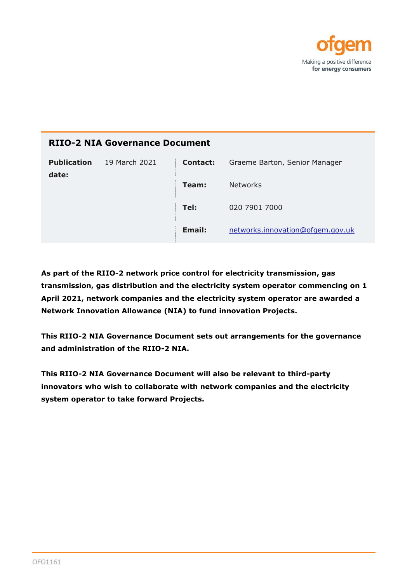

| <b>RIIO-2 NIA Governance Document</b> |               |                 |                                  |
|---------------------------------------|---------------|-----------------|----------------------------------|
| <b>Publication</b><br>date:           | 19 March 2021 | <b>Contact:</b> | Graeme Barton, Senior Manager    |
|                                       |               | Team:           | <b>Networks</b>                  |
|                                       |               | Tel:            | 020 7901 7000                    |
|                                       |               | Email:          | networks.innovation@ofgem.gov.uk |

**As part of the RIIO-2 network price control for electricity transmission, gas transmission, gas distribution and the electricity system operator commencing on 1 April 2021, network companies and the electricity system operator are awarded a Network Innovation Allowance (NIA) to fund innovation Projects.**

**This RIIO-2 NIA Governance Document sets out arrangements for the governance and administration of the RIIO-2 NIA.** 

**This RIIO-2 NIA Governance Document will also be relevant to third-party innovators who wish to collaborate with network companies and the electricity system operator to take forward Projects.**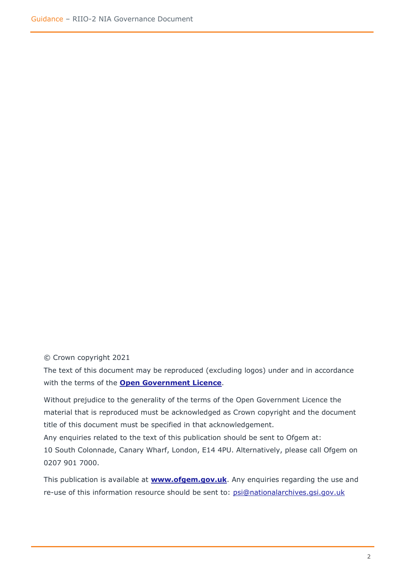© Crown copyright 2021

The text of this document may be reproduced (excluding logos) under and in accordance with the terms of the **[Open Government Licence](http://www.nationalarchives.gov.uk/doc/open-government-licence/version/3/)**.

Without prejudice to the generality of the terms of the Open Government Licence the material that is reproduced must be acknowledged as Crown copyright and the document title of this document must be specified in that acknowledgement.

Any enquiries related to the text of this publication should be sent to Ofgem at: 10 South Colonnade, Canary Wharf, London, E14 4PU. Alternatively, please call Ofgem on 0207 901 7000.

This publication is available at **[www.ofgem.gov.uk](http://www.ofgem.gov.uk/)**. Any enquiries regarding the use and re-use of this information resource should be sent to: [psi@nationalarchives.gsi.gov.uk](mailto:psi@nationalarchives.gsi.gov.uk)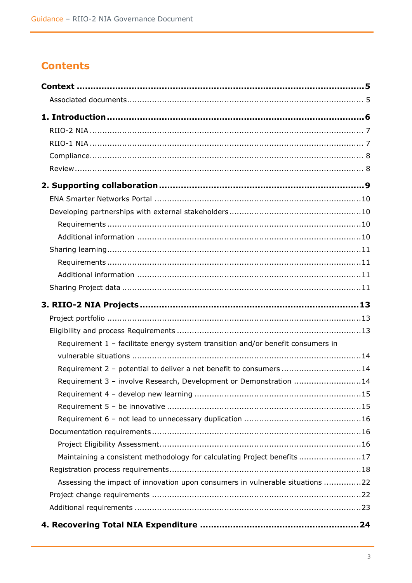# **Contents**

| Requirement 1 - facilitate energy system transition and/or benefit consumers in |  |
|---------------------------------------------------------------------------------|--|
|                                                                                 |  |
| Requirement 2 - potential to deliver a net benefit to consumers 14              |  |
| Requirement 3 - involve Research, Development or Demonstration 14               |  |
|                                                                                 |  |
|                                                                                 |  |
|                                                                                 |  |
|                                                                                 |  |
|                                                                                 |  |
| Maintaining a consistent methodology for calculating Project benefits17         |  |
|                                                                                 |  |
| Assessing the impact of innovation upon consumers in vulnerable situations 22   |  |
|                                                                                 |  |
|                                                                                 |  |
|                                                                                 |  |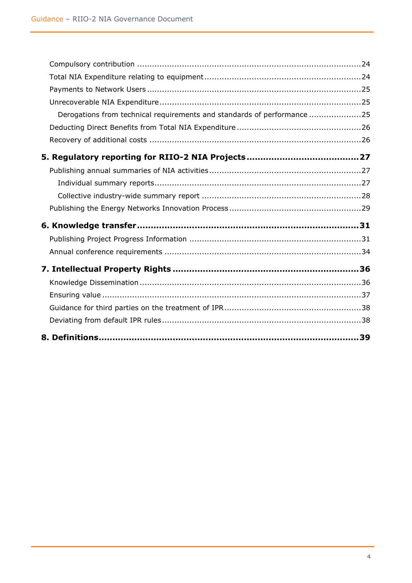| Derogations from technical requirements and standards of performance25 |  |
|------------------------------------------------------------------------|--|
|                                                                        |  |
|                                                                        |  |
|                                                                        |  |
|                                                                        |  |
|                                                                        |  |
|                                                                        |  |
|                                                                        |  |
|                                                                        |  |
|                                                                        |  |
|                                                                        |  |
|                                                                        |  |
|                                                                        |  |
|                                                                        |  |
|                                                                        |  |
|                                                                        |  |
|                                                                        |  |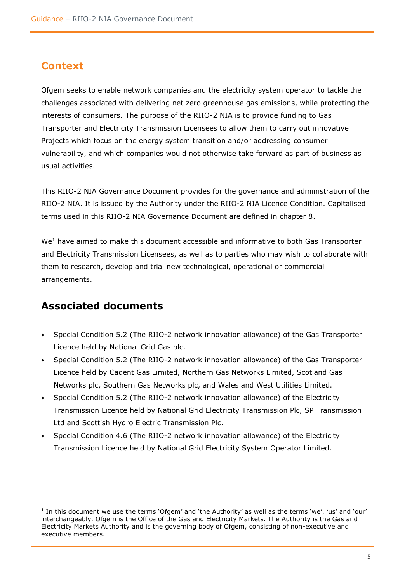## <span id="page-4-0"></span>**Context**

Ofgem seeks to enable network companies and the electricity system operator to tackle the challenges associated with delivering net zero greenhouse gas emissions, while protecting the interests of consumers. The purpose of the RIIO-2 NIA is to provide funding to Gas Transporter and Electricity Transmission Licensees to allow them to carry out innovative Projects which focus on the energy system transition and/or addressing consumer vulnerability, and which companies would not otherwise take forward as part of business as usual activities.

This RIIO-2 NIA Governance Document provides for the governance and administration of the RIIO-2 NIA. It is issued by the Authority under the RIIO-2 NIA Licence Condition. Capitalised terms used in this RIIO-2 NIA Governance Document are defined in chapter 8.

We<sup>1</sup> have aimed to make this document accessible and informative to both Gas Transporter and Electricity Transmission Licensees, as well as to parties who may wish to collaborate with them to research, develop and trial new technological, operational or commercial arrangements.

## <span id="page-4-1"></span>**Associated documents**

- Special Condition 5.2 (The RIIO-2 network innovation allowance) of the Gas Transporter Licence held by National Grid Gas plc.
- Special Condition 5.2 (The RIIO-2 network innovation allowance) of the Gas Transporter Licence held by Cadent Gas Limited, Northern Gas Networks Limited, Scotland Gas Networks plc, Southern Gas Networks plc, and Wales and West Utilities Limited.
- Special Condition 5.2 (The RIIO-2 network innovation allowance) of the Electricity Transmission Licence held by National Grid Electricity Transmission Plc, SP Transmission Ltd and Scottish Hydro Electric Transmission Plc.
- Special Condition 4.6 (The RIIO-2 network innovation allowance) of the Electricity Transmission Licence held by National Grid Electricity System Operator Limited.

<sup>1</sup> In this document we use the terms 'Ofgem' and 'the Authority' as well as the terms 'we', 'us' and 'our' interchangeably. Ofgem is the Office of the Gas and Electricity Markets. The Authority is the Gas and Electricity Markets Authority and is the governing body of Ofgem, consisting of non-executive and executive members.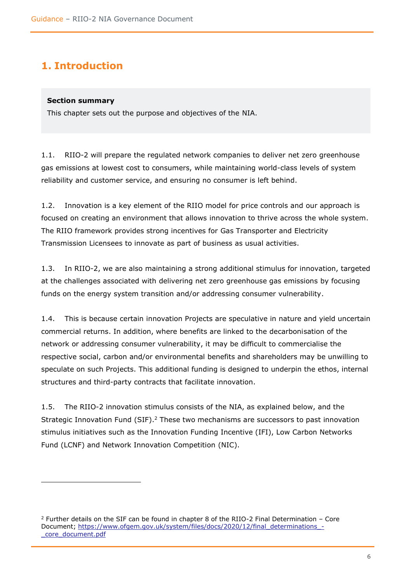# <span id="page-5-0"></span>**1. Introduction**

## **Section summary**

This chapter sets out the purpose and objectives of the NIA.

1.1. RIIO-2 will prepare the regulated network companies to deliver net zero greenhouse gas emissions at lowest cost to consumers, while maintaining world-class levels of system reliability and customer service, and ensuring no consumer is left behind.

1.2. Innovation is a key element of the RIIO model for price controls and our approach is focused on creating an environment that allows innovation to thrive across the whole system. The RIIO framework provides strong incentives for Gas Transporter and Electricity Transmission Licensees to innovate as part of business as usual activities.

1.3. In RIIO-2, we are also maintaining a strong additional stimulus for innovation, targeted at the challenges associated with delivering net zero greenhouse gas emissions by focusing funds on the energy system transition and/or addressing consumer vulnerability.

1.4. This is because certain innovation Projects are speculative in nature and yield uncertain commercial returns. In addition, where benefits are linked to the decarbonisation of the network or addressing consumer vulnerability, it may be difficult to commercialise the respective social, carbon and/or environmental benefits and shareholders may be unwilling to speculate on such Projects. This additional funding is designed to underpin the ethos, internal structures and third-party contracts that facilitate innovation.

1.5. The RIIO-2 innovation stimulus consists of the NIA, as explained below, and the Strategic Innovation Fund (SIF).<sup>2</sup> These two mechanisms are successors to past innovation stimulus initiatives such as the Innovation Funding Incentive (IFI), Low Carbon Networks Fund (LCNF) and Network Innovation Competition (NIC).

 $2$  Further details on the SIF can be found in chapter 8 of the RIIO-2 Final Determination – Core Document; [https://www.ofgem.gov.uk/system/files/docs/2020/12/final\\_determinations\\_-](https://www.ofgem.gov.uk/system/files/docs/2020/12/final_determinations_-_core_document.pdf) [\\_core\\_document.pdf](https://www.ofgem.gov.uk/system/files/docs/2020/12/final_determinations_-_core_document.pdf)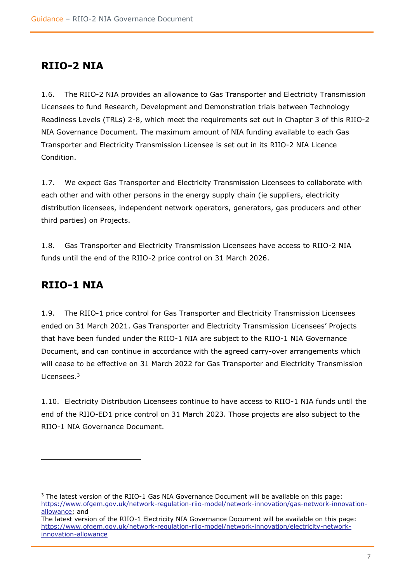## <span id="page-6-0"></span>**RIIO-2 NIA**

1.6. The RIIO-2 NIA provides an allowance to Gas Transporter and Electricity Transmission Licensees to fund Research, Development and Demonstration trials between Technology Readiness Levels (TRLs) 2-8, which meet the requirements set out in Chapter 3 of this RIIO-2 NIA Governance Document. The maximum amount of NIA funding available to each Gas Transporter and Electricity Transmission Licensee is set out in its RIIO-2 NIA Licence Condition.

1.7. We expect Gas Transporter and Electricity Transmission Licensees to collaborate with each other and with other persons in the energy supply chain (ie suppliers, electricity distribution licensees, independent network operators, generators, gas producers and other third parties) on Projects.

1.8. Gas Transporter and Electricity Transmission Licensees have access to RIIO-2 NIA funds until the end of the RIIO-2 price control on 31 March 2026.

## <span id="page-6-1"></span>**RIIO-1 NIA**

1.9. The RIIO-1 price control for Gas Transporter and Electricity Transmission Licensees ended on 31 March 2021. Gas Transporter and Electricity Transmission Licensees' Projects that have been funded under the RIIO-1 NIA are subject to the RIIO-1 NIA Governance Document, and can continue in accordance with the agreed carry-over arrangements which will cease to be effective on 31 March 2022 for Gas Transporter and Electricity Transmission Licensees.<sup>3</sup>

1.10. Electricity Distribution Licensees continue to have access to RIIO-1 NIA funds until the end of the RIIO-ED1 price control on 31 March 2023. Those projects are also subject to the RIIO-1 NIA Governance Document.

<sup>3</sup> The latest version of the RIIO-1 Gas NIA Governance Document will be available on this page: [https://www.ofgem.gov.uk/network-regulation-riio-model/network-innovation/gas-network-innovation](https://www.ofgem.gov.uk/network-regulation-riio-model/network-innovation/gas-network-innovation-allowance)[allowance;](https://www.ofgem.gov.uk/network-regulation-riio-model/network-innovation/gas-network-innovation-allowance) and

The latest version of the RIIO-1 Electricity NIA Governance Document will be available on this page: [https://www.ofgem.gov.uk/network-regulation-riio-model/network-innovation/electricity-network](https://www.ofgem.gov.uk/network-regulation-riio-model/network-innovation/electricity-network-innovation-allowance)[innovation-allowance](https://www.ofgem.gov.uk/network-regulation-riio-model/network-innovation/electricity-network-innovation-allowance)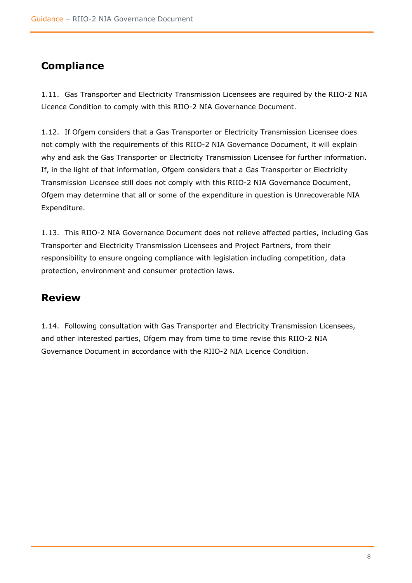# <span id="page-7-0"></span>**Compliance**

1.11. Gas Transporter and Electricity Transmission Licensees are required by the RIIO-2 NIA Licence Condition to comply with this RIIO-2 NIA Governance Document.

1.12. If Ofgem considers that a Gas Transporter or Electricity Transmission Licensee does not comply with the requirements of this RIIO-2 NIA Governance Document, it will explain why and ask the Gas Transporter or Electricity Transmission Licensee for further information. If, in the light of that information, Ofgem considers that a Gas Transporter or Electricity Transmission Licensee still does not comply with this RIIO-2 NIA Governance Document, Ofgem may determine that all or some of the expenditure in question is Unrecoverable NIA Expenditure.

1.13. This RIIO-2 NIA Governance Document does not relieve affected parties, including Gas Transporter and Electricity Transmission Licensees and Project Partners, from their responsibility to ensure ongoing compliance with legislation including competition, data protection, environment and consumer protection laws.

## <span id="page-7-1"></span>**Review**

1.14. Following consultation with Gas Transporter and Electricity Transmission Licensees, and other interested parties, Ofgem may from time to time revise this RIIO-2 NIA Governance Document in accordance with the RIIO-2 NIA Licence Condition.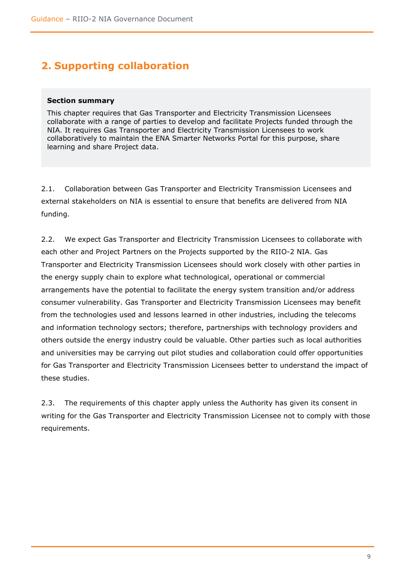# <span id="page-8-0"></span>**2. Supporting collaboration**

#### **Section summary**

This chapter requires that Gas Transporter and Electricity Transmission Licensees collaborate with a range of parties to develop and facilitate Projects funded through the NIA. It requires Gas Transporter and Electricity Transmission Licensees to work collaboratively to maintain the ENA Smarter Networks Portal for this purpose, share learning and share Project data.

2.1. Collaboration between Gas Transporter and Electricity Transmission Licensees and external stakeholders on NIA is essential to ensure that benefits are delivered from NIA funding.

2.2. We expect Gas Transporter and Electricity Transmission Licensees to collaborate with each other and Project Partners on the Projects supported by the RIIO-2 NIA. Gas Transporter and Electricity Transmission Licensees should work closely with other parties in the energy supply chain to explore what technological, operational or commercial arrangements have the potential to facilitate the energy system transition and/or address consumer vulnerability. Gas Transporter and Electricity Transmission Licensees may benefit from the technologies used and lessons learned in other industries, including the telecoms and information technology sectors; therefore, partnerships with technology providers and others outside the energy industry could be valuable. Other parties such as local authorities and universities may be carrying out pilot studies and collaboration could offer opportunities for Gas Transporter and Electricity Transmission Licensees better to understand the impact of these studies.

2.3. The requirements of this chapter apply unless the Authority has given its consent in writing for the Gas Transporter and Electricity Transmission Licensee not to comply with those requirements.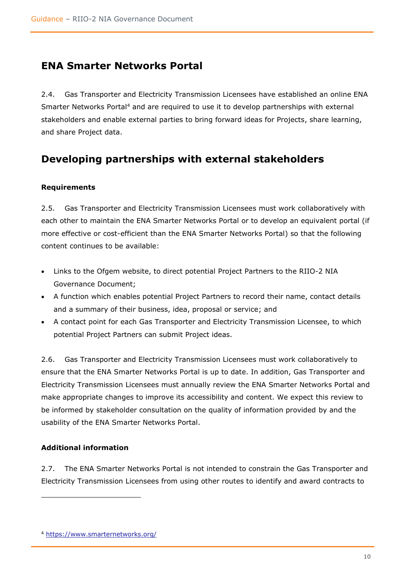## <span id="page-9-0"></span>**ENA Smarter Networks Portal**

2.4. Gas Transporter and Electricity Transmission Licensees have established an online ENA Smarter Networks Portal<sup>4</sup> and are required to use it to develop partnerships with external stakeholders and enable external parties to bring forward ideas for Projects, share learning, and share Project data.

## <span id="page-9-1"></span>**Developing partnerships with external stakeholders**

## <span id="page-9-2"></span>**Requirements**

2.5. Gas Transporter and Electricity Transmission Licensees must work collaboratively with each other to maintain the ENA Smarter Networks Portal or to develop an equivalent portal (if more effective or cost-efficient than the ENA Smarter Networks Portal) so that the following content continues to be available:

- Links to the Ofgem website, to direct potential Project Partners to the RIIO-2 NIA Governance Document;
- A function which enables potential Project Partners to record their name, contact details and a summary of their business, idea, proposal or service; and
- A contact point for each Gas Transporter and Electricity Transmission Licensee, to which potential Project Partners can submit Project ideas.

2.6. Gas Transporter and Electricity Transmission Licensees must work collaboratively to ensure that the ENA Smarter Networks Portal is up to date. In addition, Gas Transporter and Electricity Transmission Licensees must annually review the ENA Smarter Networks Portal and make appropriate changes to improve its accessibility and content. We expect this review to be informed by stakeholder consultation on the quality of information provided by and the usability of the ENA Smarter Networks Portal.

## <span id="page-9-3"></span>**Additional information**

2.7. The ENA Smarter Networks Portal is not intended to constrain the Gas Transporter and Electricity Transmission Licensees from using other routes to identify and award contracts to

<sup>4</sup> <https://www.smarternetworks.org/>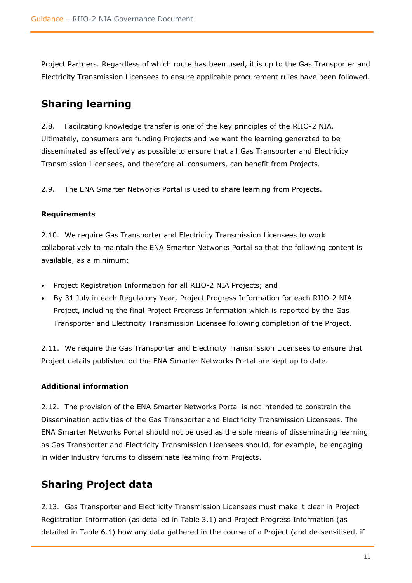Project Partners. Regardless of which route has been used, it is up to the Gas Transporter and Electricity Transmission Licensees to ensure applicable procurement rules have been followed.

# <span id="page-10-0"></span>**Sharing learning**

2.8. Facilitating knowledge transfer is one of the key principles of the RIIO-2 NIA. Ultimately, consumers are funding Projects and we want the learning generated to be disseminated as effectively as possible to ensure that all Gas Transporter and Electricity Transmission Licensees, and therefore all consumers, can benefit from Projects.

2.9. The ENA Smarter Networks Portal is used to share learning from Projects.

## <span id="page-10-1"></span>**Requirements**

2.10. We require Gas Transporter and Electricity Transmission Licensees to work collaboratively to maintain the ENA Smarter Networks Portal so that the following content is available, as a minimum:

- Project Registration Information for all RIIO-2 NIA Projects; and
- By 31 July in each Regulatory Year, Project Progress Information for each RIIO-2 NIA Project, including the final Project Progress Information which is reported by the Gas Transporter and Electricity Transmission Licensee following completion of the Project.

2.11. We require the Gas Transporter and Electricity Transmission Licensees to ensure that Project details published on the ENA Smarter Networks Portal are kept up to date.

## <span id="page-10-2"></span>**Additional information**

2.12. The provision of the ENA Smarter Networks Portal is not intended to constrain the Dissemination activities of the Gas Transporter and Electricity Transmission Licensees. The ENA Smarter Networks Portal should not be used as the sole means of disseminating learning as Gas Transporter and Electricity Transmission Licensees should, for example, be engaging in wider industry forums to disseminate learning from Projects.

# <span id="page-10-3"></span>**Sharing Project data**

2.13. Gas Transporter and Electricity Transmission Licensees must make it clear in Project Registration Information (as detailed in Table 3.1) and Project Progress Information (as detailed in Table 6.1) how any data gathered in the course of a Project (and de-sensitised, if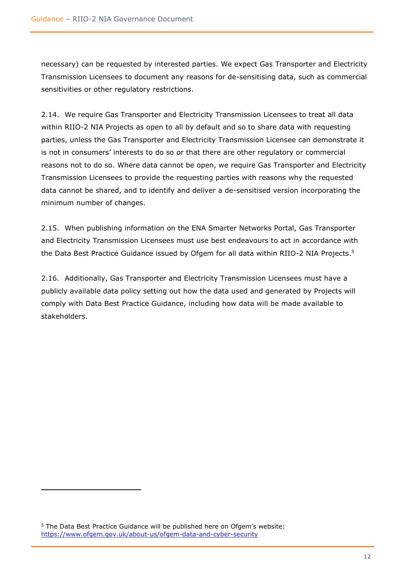necessary) can be requested by interested parties. We expect Gas Transporter and Electricity Transmission Licensees to document any reasons for de-sensitising data, such as commercial sensitivities or other regulatory restrictions.

2.14. We require Gas Transporter and Electricity Transmission Licensees to treat all data within RIIO-2 NIA Projects as open to all by default and so to share data with requesting parties, unless the Gas Transporter and Electricity Transmission Licensee can demonstrate it is not in consumers' interests to do so or that there are other regulatory or commercial reasons not to do so. Where data cannot be open, we require Gas Transporter and Electricity Transmission Licensees to provide the requesting parties with reasons why the requested data cannot be shared, and to identify and deliver a de-sensitised version incorporating the minimum number of changes.

2.15. When publishing information on the ENA Smarter Networks Portal, Gas Transporter and Electricity Transmission Licensees must use best endeavours to act in accordance with the Data Best Practice Guidance issued by Ofgem for all data within RIIO-2 NIA Projects.<sup>5</sup>

2.16. Additionally, Gas Transporter and Electricity Transmission Licensees must have a publicly available data policy setting out how the data used and generated by Projects will comply with Data Best Practice Guidance, including how data will be made available to stakeholders.

<sup>5</sup> The Data Best Practice Guidance will be published here on Ofgem's website: <https://www.ofgem.gov.uk/about-us/ofgem-data-and-cyber-security>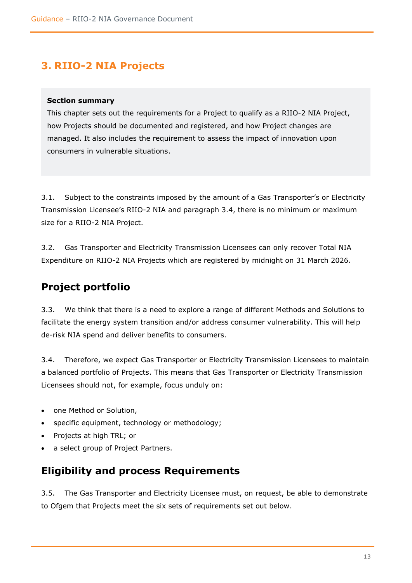# <span id="page-12-0"></span>**3. RIIO-2 NIA Projects**

### **Section summary**

This chapter sets out the requirements for a Project to qualify as a RIIO-2 NIA Project, how Projects should be documented and registered, and how Project changes are managed. It also includes the requirement to assess the impact of innovation upon consumers in vulnerable situations.

3.1. Subject to the constraints imposed by the amount of a Gas Transporter's or Electricity Transmission Licensee's RIIO-2 NIA and paragraph 3.4, there is no minimum or maximum size for a RIIO-2 NIA Project.

3.2. Gas Transporter and Electricity Transmission Licensees can only recover Total NIA Expenditure on RIIO-2 NIA Projects which are registered by midnight on 31 March 2026.

## <span id="page-12-1"></span>**Project portfolio**

3.3. We think that there is a need to explore a range of different Methods and Solutions to facilitate the energy system transition and/or address consumer vulnerability. This will help de-risk NIA spend and deliver benefits to consumers.

3.4. Therefore, we expect Gas Transporter or Electricity Transmission Licensees to maintain a balanced portfolio of Projects. This means that Gas Transporter or Electricity Transmission Licensees should not, for example, focus unduly on:

- one Method or Solution,
- specific equipment, technology or methodology;
- Projects at high TRL; or
- a select group of Project Partners.

## <span id="page-12-2"></span>**Eligibility and process Requirements**

3.5. The Gas Transporter and Electricity Licensee must, on request, be able to demonstrate to Ofgem that Projects meet the six sets of requirements set out below.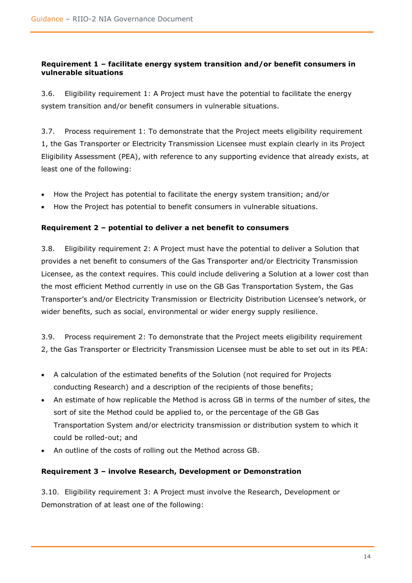## <span id="page-13-0"></span>**Requirement 1 – facilitate energy system transition and/or benefit consumers in vulnerable situations**

3.6. Eligibility requirement 1: A Project must have the potential to facilitate the energy system transition and/or benefit consumers in vulnerable situations.

3.7. Process requirement 1: To demonstrate that the Project meets eligibility requirement 1, the Gas Transporter or Electricity Transmission Licensee must explain clearly in its Project Eligibility Assessment (PEA), with reference to any supporting evidence that already exists, at least one of the following:

- How the Project has potential to facilitate the energy system transition; and/or
- How the Project has potential to benefit consumers in vulnerable situations.

### <span id="page-13-1"></span>**Requirement 2 – potential to deliver a net benefit to consumers**

3.8. Eligibility requirement 2: A Project must have the potential to deliver a Solution that provides a net benefit to consumers of the Gas Transporter and/or Electricity Transmission Licensee, as the context requires. This could include delivering a Solution at a lower cost than the most efficient Method currently in use on the GB Gas Transportation System, the Gas Transporter's and/or Electricity Transmission or Electricity Distribution Licensee's network, or wider benefits, such as social, environmental or wider energy supply resilience.

3.9. Process requirement 2: To demonstrate that the Project meets eligibility requirement 2, the Gas Transporter or Electricity Transmission Licensee must be able to set out in its PEA:

- A calculation of the estimated benefits of the Solution (not required for Projects conducting Research) and a description of the recipients of those benefits;
- An estimate of how replicable the Method is across GB in terms of the number of sites, the sort of site the Method could be applied to, or the percentage of the GB Gas Transportation System and/or electricity transmission or distribution system to which it could be rolled-out; and
- An outline of the costs of rolling out the Method across GB.

## <span id="page-13-2"></span>**Requirement 3 – involve Research, Development or Demonstration**

3.10. Eligibility requirement 3: A Project must involve the Research, Development or Demonstration of at least one of the following: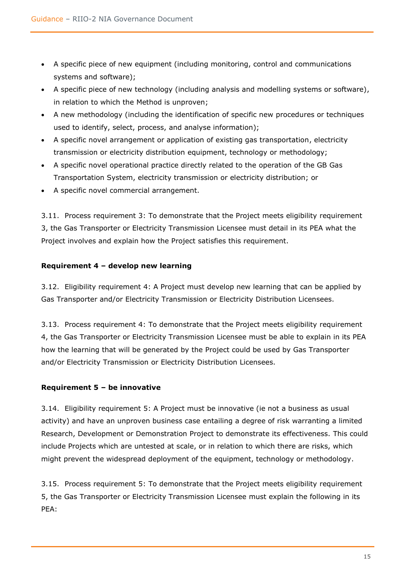- A specific piece of new equipment (including monitoring, control and communications systems and software);
- A specific piece of new technology (including analysis and modelling systems or software), in relation to which the Method is unproven;
- A new methodology (including the identification of specific new procedures or techniques used to identify, select, process, and analyse information);
- A specific novel arrangement or application of existing gas transportation, electricity transmission or electricity distribution equipment, technology or methodology;
- A specific novel operational practice directly related to the operation of the GB Gas Transportation System, electricity transmission or electricity distribution; or
- A specific novel commercial arrangement.

3.11. Process requirement 3: To demonstrate that the Project meets eligibility requirement 3, the Gas Transporter or Electricity Transmission Licensee must detail in its PEA what the Project involves and explain how the Project satisfies this requirement.

## <span id="page-14-0"></span>**Requirement 4 – develop new learning**

3.12. Eligibility requirement 4: A Project must develop new learning that can be applied by Gas Transporter and/or Electricity Transmission or Electricity Distribution Licensees.

3.13. Process requirement 4: To demonstrate that the Project meets eligibility requirement 4, the Gas Transporter or Electricity Transmission Licensee must be able to explain in its PEA how the learning that will be generated by the Project could be used by Gas Transporter and/or Electricity Transmission or Electricity Distribution Licensees.

## <span id="page-14-1"></span>**Requirement 5 – be innovative**

3.14. Eligibility requirement 5: A Project must be innovative (ie not a business as usual activity) and have an unproven business case entailing a degree of risk warranting a limited Research, Development or Demonstration Project to demonstrate its effectiveness. This could include Projects which are untested at scale, or in relation to which there are risks, which might prevent the widespread deployment of the equipment, technology or methodology.

3.15. Process requirement 5: To demonstrate that the Project meets eligibility requirement 5, the Gas Transporter or Electricity Transmission Licensee must explain the following in its PEA: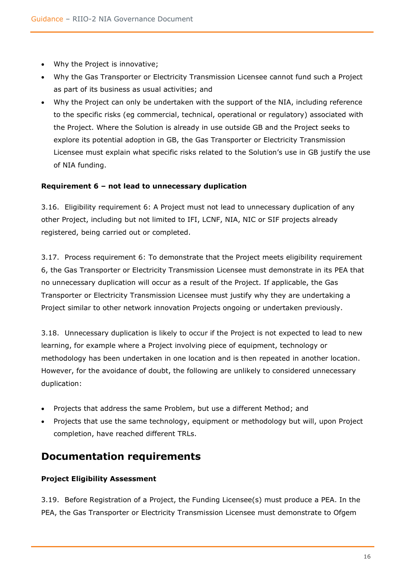- Why the Project is innovative;
- Why the Gas Transporter or Electricity Transmission Licensee cannot fund such a Project as part of its business as usual activities; and
- Why the Project can only be undertaken with the support of the NIA, including reference to the specific risks (eg commercial, technical, operational or regulatory) associated with the Project. Where the Solution is already in use outside GB and the Project seeks to explore its potential adoption in GB, the Gas Transporter or Electricity Transmission Licensee must explain what specific risks related to the Solution's use in GB justify the use of NIA funding.

## <span id="page-15-0"></span>**Requirement 6 – not lead to unnecessary duplication**

3.16. Eligibility requirement 6: A Project must not lead to unnecessary duplication of any other Project, including but not limited to IFI, LCNF, NIA, NIC or SIF projects already registered, being carried out or completed.

3.17. Process requirement 6: To demonstrate that the Project meets eligibility requirement 6, the Gas Transporter or Electricity Transmission Licensee must demonstrate in its PEA that no unnecessary duplication will occur as a result of the Project. If applicable, the Gas Transporter or Electricity Transmission Licensee must justify why they are undertaking a Project similar to other network innovation Projects ongoing or undertaken previously.

3.18. Unnecessary duplication is likely to occur if the Project is not expected to lead to new learning, for example where a Project involving piece of equipment, technology or methodology has been undertaken in one location and is then repeated in another location. However, for the avoidance of doubt, the following are unlikely to considered unnecessary duplication:

- Projects that address the same Problem, but use a different Method; and
- Projects that use the same technology, equipment or methodology but will, upon Project completion, have reached different TRLs.

## <span id="page-15-1"></span>**Documentation requirements**

## <span id="page-15-2"></span>**Project Eligibility Assessment**

3.19. Before Registration of a Project, the Funding Licensee(s) must produce a PEA. In the PEA, the Gas Transporter or Electricity Transmission Licensee must demonstrate to Ofgem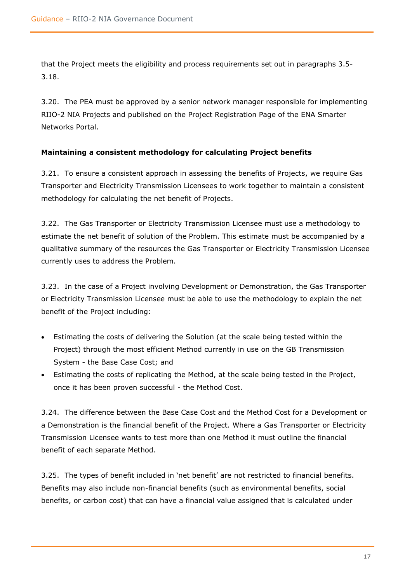that the Project meets the eligibility and process requirements set out in paragraphs 3.5- 3.18.

3.20. The PEA must be approved by a senior network manager responsible for implementing RIIO-2 NIA Projects and published on the Project Registration Page of the ENA Smarter Networks Portal.

## <span id="page-16-0"></span>**Maintaining a consistent methodology for calculating Project benefits**

3.21. To ensure a consistent approach in assessing the benefits of Projects, we require Gas Transporter and Electricity Transmission Licensees to work together to maintain a consistent methodology for calculating the net benefit of Projects.

3.22. The Gas Transporter or Electricity Transmission Licensee must use a methodology to estimate the net benefit of solution of the Problem. This estimate must be accompanied by a qualitative summary of the resources the Gas Transporter or Electricity Transmission Licensee currently uses to address the Problem.

3.23. In the case of a Project involving Development or Demonstration, the Gas Transporter or Electricity Transmission Licensee must be able to use the methodology to explain the net benefit of the Project including:

- Estimating the costs of delivering the Solution (at the scale being tested within the Project) through the most efficient Method currently in use on the GB Transmission System - the Base Case Cost; and
- Estimating the costs of replicating the Method, at the scale being tested in the Project, once it has been proven successful - the Method Cost.

3.24. The difference between the Base Case Cost and the Method Cost for a Development or a Demonstration is the financial benefit of the Project. Where a Gas Transporter or Electricity Transmission Licensee wants to test more than one Method it must outline the financial benefit of each separate Method.

3.25. The types of benefit included in 'net benefit' are not restricted to financial benefits. Benefits may also include non-financial benefits (such as environmental benefits, social benefits, or carbon cost) that can have a financial value assigned that is calculated under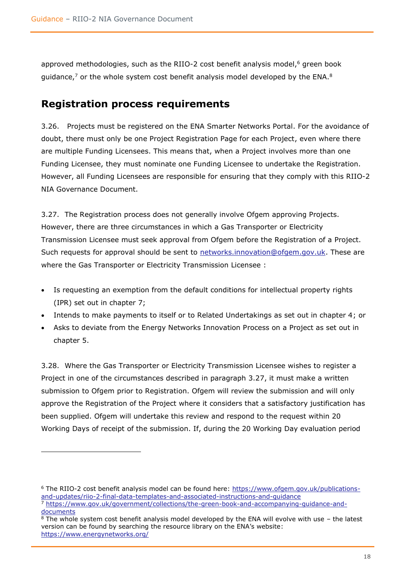approved methodologies, such as the RIIO-2 cost benefit analysis model, $6$  green book guidance,<sup>7</sup> or the whole system cost benefit analysis model developed by the ENA.<sup>8</sup>

## <span id="page-17-0"></span>**Registration process requirements**

3.26. Projects must be registered on the ENA Smarter Networks Portal. For the avoidance of doubt, there must only be one Project Registration Page for each Project, even where there are multiple Funding Licensees. This means that, when a Project involves more than one Funding Licensee, they must nominate one Funding Licensee to undertake the Registration. However, all Funding Licensees are responsible for ensuring that they comply with this RIIO-2 NIA Governance Document.

3.27. The Registration process does not generally involve Ofgem approving Projects. However, there are three circumstances in which a Gas Transporter or Electricity Transmission Licensee must seek approval from Ofgem before the Registration of a Project. Such requests for approval should be sent to [networks.innovation@ofgem.gov.uk.](mailto:networks.innovation@ofgem.gov.uk) These are where the Gas Transporter or Electricity Transmission Licensee :

- Is requesting an exemption from the default conditions for intellectual property rights (IPR) set out in chapter 7;
- Intends to make payments to itself or to Related Undertakings as set out in chapter 4; or
- Asks to deviate from the Energy Networks Innovation Process on a Project as set out in chapter 5.

3.28. Where the Gas Transporter or Electricity Transmission Licensee wishes to register a Project in one of the circumstances described in paragraph 3.27, it must make a written submission to Ofgem prior to Registration. Ofgem will review the submission and will only approve the Registration of the Project where it considers that a satisfactory justification has been supplied. Ofgem will undertake this review and respond to the request within 20 Working Days of receipt of the submission. If, during the 20 Working Day evaluation period

<sup>6</sup> The RIIO-2 cost benefit analysis model can be found here: [https://www.ofgem.gov.uk/publications](https://www.ofgem.gov.uk/publications-and-updates/riio-2-final-data-templates-and-associated-instructions-and-guidance)[and-updates/riio-2-final-data-templates-and-associated-instructions-and-guidance](https://www.ofgem.gov.uk/publications-and-updates/riio-2-final-data-templates-and-associated-instructions-and-guidance) <sup>7</sup> [https://www.gov.uk/government/collections/the-green-book-and-accompanying-guidance-and](https://www.gov.uk/government/collections/the-green-book-and-accompanying-guidance-and-documents)[documents](https://www.gov.uk/government/collections/the-green-book-and-accompanying-guidance-and-documents)

<sup>8</sup> The whole system cost benefit analysis model developed by the ENA will evolve with use – the latest version can be found by searching the resource library on the ENA's website: <https://www.energynetworks.org/>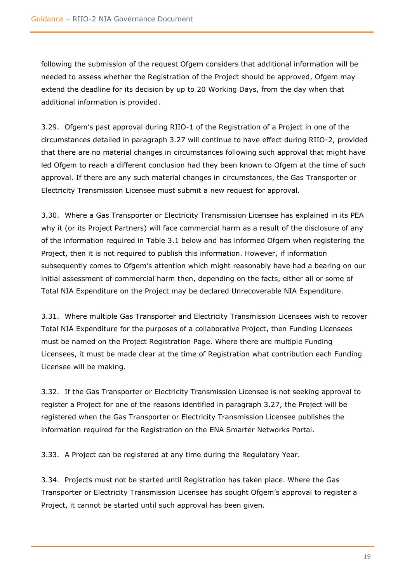following the submission of the request Ofgem considers that additional information will be needed to assess whether the Registration of the Project should be approved, Ofgem may extend the deadline for its decision by up to 20 Working Days, from the day when that additional information is provided.

3.29. Ofgem's past approval during RIIO-1 of the Registration of a Project in one of the circumstances detailed in paragraph 3.27 will continue to have effect during RIIO-2, provided that there are no material changes in circumstances following such approval that might have led Ofgem to reach a different conclusion had they been known to Ofgem at the time of such approval. If there are any such material changes in circumstances, the Gas Transporter or Electricity Transmission Licensee must submit a new request for approval.

3.30. Where a Gas Transporter or Electricity Transmission Licensee has explained in its PEA why it (or its Project Partners) will face commercial harm as a result of the disclosure of any of the information required in Table 3.1 below and has informed Ofgem when registering the Project, then it is not required to publish this information. However, if information subsequently comes to Ofgem's attention which might reasonably have had a bearing on our initial assessment of commercial harm then, depending on the facts, either all or some of Total NIA Expenditure on the Project may be declared Unrecoverable NIA Expenditure.

3.31. Where multiple Gas Transporter and Electricity Transmission Licensees wish to recover Total NIA Expenditure for the purposes of a collaborative Project, then Funding Licensees must be named on the Project Registration Page. Where there are multiple Funding Licensees, it must be made clear at the time of Registration what contribution each Funding Licensee will be making.

3.32. If the Gas Transporter or Electricity Transmission Licensee is not seeking approval to register a Project for one of the reasons identified in paragraph 3.27, the Project will be registered when the Gas Transporter or Electricity Transmission Licensee publishes the information required for the Registration on the ENA Smarter Networks Portal.

3.33. A Project can be registered at any time during the Regulatory Year.

3.34. Projects must not be started until Registration has taken place. Where the Gas Transporter or Electricity Transmission Licensee has sought Ofgem's approval to register a Project, it cannot be started until such approval has been given.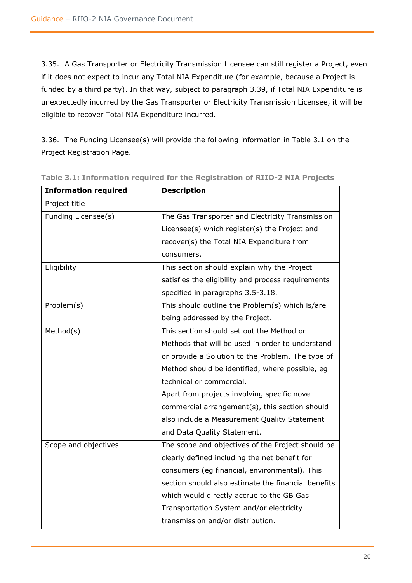3.35. A Gas Transporter or Electricity Transmission Licensee can still register a Project, even if it does not expect to incur any Total NIA Expenditure (for example, because a Project is funded by a third party). In that way, subject to paragraph 3.39, if Total NIA Expenditure is unexpectedly incurred by the Gas Transporter or Electricity Transmission Licensee, it will be eligible to recover Total NIA Expenditure incurred.

3.36. The Funding Licensee(s) will provide the following information in Table 3.1 on the Project Registration Page.

| <b>Information required</b> | <b>Description</b>                                  |
|-----------------------------|-----------------------------------------------------|
| Project title               |                                                     |
| Funding Licensee(s)         | The Gas Transporter and Electricity Transmission    |
|                             | Licensee(s) which register(s) the Project and       |
|                             | recover(s) the Total NIA Expenditure from           |
|                             | consumers.                                          |
| Eligibility                 | This section should explain why the Project         |
|                             | satisfies the eligibility and process requirements  |
|                             | specified in paragraphs 3.5-3.18.                   |
| Problem(s)                  | This should outline the Problem(s) which is/are     |
|                             | being addressed by the Project.                     |
| Method(s)                   | This section should set out the Method or           |
|                             | Methods that will be used in order to understand    |
|                             | or provide a Solution to the Problem. The type of   |
|                             | Method should be identified, where possible, eg     |
|                             | technical or commercial.                            |
|                             | Apart from projects involving specific novel        |
|                             | commercial arrangement(s), this section should      |
|                             | also include a Measurement Quality Statement        |
|                             | and Data Quality Statement.                         |
| Scope and objectives        | The scope and objectives of the Project should be   |
|                             | clearly defined including the net benefit for       |
|                             | consumers (eg financial, environmental). This       |
|                             | section should also estimate the financial benefits |
|                             | which would directly accrue to the GB Gas           |
|                             | Transportation System and/or electricity            |
|                             | transmission and/or distribution.                   |

**Table 3.1: Information required for the Registration of RIIO-2 NIA Projects**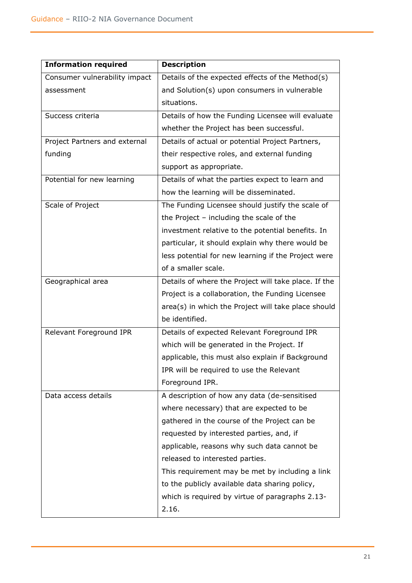| <b>Information required</b>   | <b>Description</b>                                   |
|-------------------------------|------------------------------------------------------|
| Consumer vulnerability impact | Details of the expected effects of the Method(s)     |
| assessment                    | and Solution(s) upon consumers in vulnerable         |
|                               | situations.                                          |
| Success criteria              | Details of how the Funding Licensee will evaluate    |
|                               | whether the Project has been successful.             |
| Project Partners and external | Details of actual or potential Project Partners,     |
| funding                       | their respective roles, and external funding         |
|                               | support as appropriate.                              |
| Potential for new learning    | Details of what the parties expect to learn and      |
|                               | how the learning will be disseminated.               |
| Scale of Project              | The Funding Licensee should justify the scale of     |
|                               | the Project - including the scale of the             |
|                               | investment relative to the potential benefits. In    |
|                               | particular, it should explain why there would be     |
|                               | less potential for new learning if the Project were  |
|                               | of a smaller scale.                                  |
| Geographical area             | Details of where the Project will take place. If the |
|                               | Project is a collaboration, the Funding Licensee     |
|                               | area(s) in which the Project will take place should  |
|                               | be identified.                                       |
| Relevant Foreground IPR       | Details of expected Relevant Foreground IPR          |
|                               | which will be generated in the Project. If           |
|                               | applicable, this must also explain if Background     |
|                               | IPR will be required to use the Relevant             |
|                               | Foreground IPR.                                      |
| Data access details           | A description of how any data (de-sensitised         |
|                               | where necessary) that are expected to be             |
|                               | gathered in the course of the Project can be         |
|                               | requested by interested parties, and, if             |
|                               | applicable, reasons why such data cannot be          |
|                               | released to interested parties.                      |
|                               | This requirement may be met by including a link      |
|                               | to the publicly available data sharing policy,       |
|                               | which is required by virtue of paragraphs 2.13-      |
|                               | 2.16.                                                |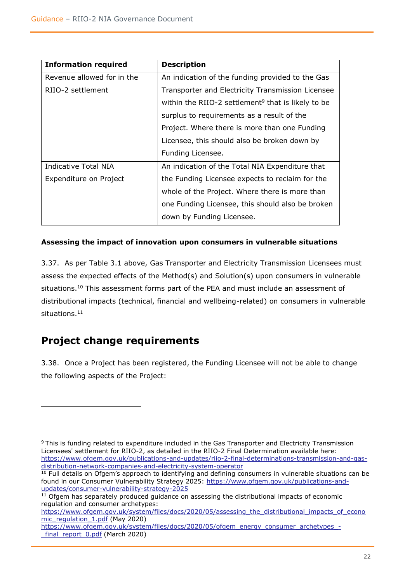| <b>Information required</b> | <b>Description</b>                                             |
|-----------------------------|----------------------------------------------------------------|
| Revenue allowed for in the  | An indication of the funding provided to the Gas               |
| RIIO-2 settlement           | Transporter and Electricity Transmission Licensee              |
|                             | within the RIIO-2 settlement <sup>9</sup> that is likely to be |
|                             | surplus to requirements as a result of the                     |
|                             | Project. Where there is more than one Funding                  |
|                             | Licensee, this should also be broken down by                   |
|                             | Funding Licensee.                                              |
| Indicative Total NIA        | An indication of the Total NIA Expenditure that                |
| Expenditure on Project      | the Funding Licensee expects to reclaim for the                |
|                             | whole of the Project. Where there is more than                 |
|                             | one Funding Licensee, this should also be broken               |
|                             | down by Funding Licensee.                                      |

## <span id="page-21-0"></span>**Assessing the impact of innovation upon consumers in vulnerable situations**

3.37. As per Table 3.1 above, Gas Transporter and Electricity Transmission Licensees must assess the expected effects of the Method(s) and Solution(s) upon consumers in vulnerable situations.<sup>10</sup> This assessment forms part of the PEA and must include an assessment of distributional impacts (technical, financial and wellbeing-related) on consumers in vulnerable situations. 11

# <span id="page-21-1"></span>**Project change requirements**

3.38. Once a Project has been registered, the Funding Licensee will not be able to change the following aspects of the Project:

<sup>9</sup> This is funding related to expenditure included in the Gas Transporter and Electricity Transmission Licensees' settlement for RIIO-2, as detailed in the RIIO-2 Final Determination available here: [https://www.ofgem.gov.uk/publications-and-updates/riio-2-final-determinations-transmission-and-gas](https://www.ofgem.gov.uk/publications-and-updates/riio-2-final-determinations-transmission-and-gas-distribution-network-companies-and-electricity-system-operator)[distribution-network-companies-and-electricity-system-operator](https://www.ofgem.gov.uk/publications-and-updates/riio-2-final-determinations-transmission-and-gas-distribution-network-companies-and-electricity-system-operator)

 $10$  Full details on Ofgem's approach to identifying and defining consumers in vulnerable situations can be found in our Consumer Vulnerability Strategy 2025: [https://www.ofgem.gov.uk/publications-and](https://www.ofgem.gov.uk/publications-and-updates/consumer-vulnerability-strategy-2025)[updates/consumer-vulnerability-strategy-2025](https://www.ofgem.gov.uk/publications-and-updates/consumer-vulnerability-strategy-2025) 

 $11$  Ofgem has separately produced quidance on assessing the distributional impacts of economic regulation and consumer archetypes:

[https://www.ofgem.gov.uk/system/files/docs/2020/05/assessing\\_the\\_distributional\\_impacts\\_of\\_econo](https://www.ofgem.gov.uk/system/files/docs/2020/05/assessing_the_distributional_impacts_of_economic_regulation_1.pdf) [mic\\_regulation\\_1.pdf](https://www.ofgem.gov.uk/system/files/docs/2020/05/assessing_the_distributional_impacts_of_economic_regulation_1.pdf) (May 2020)

[https://www.ofgem.gov.uk/system/files/docs/2020/05/ofgem\\_energy\\_consumer\\_archetypes\\_](https://www.ofgem.gov.uk/system/files/docs/2020/05/ofgem_energy_consumer_archetypes_-_final_report_0.pdf) final\_report\_0.pdf (March 2020)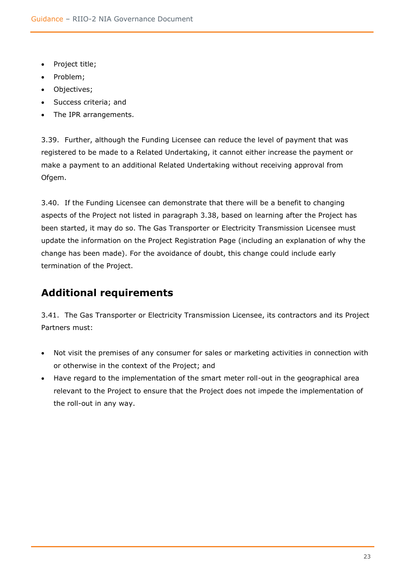- Project title;
- Problem;
- Objectives;
- Success criteria; and
- The IPR arrangements.

3.39. Further, although the Funding Licensee can reduce the level of payment that was registered to be made to a Related Undertaking, it cannot either increase the payment or make a payment to an additional Related Undertaking without receiving approval from Ofgem.

3.40. If the Funding Licensee can demonstrate that there will be a benefit to changing aspects of the Project not listed in paragraph 3.38, based on learning after the Project has been started, it may do so. The Gas Transporter or Electricity Transmission Licensee must update the information on the Project Registration Page (including an explanation of why the change has been made). For the avoidance of doubt, this change could include early termination of the Project.

# <span id="page-22-0"></span>**Additional requirements**

3.41. The Gas Transporter or Electricity Transmission Licensee, its contractors and its Project Partners must:

- Not visit the premises of any consumer for sales or marketing activities in connection with or otherwise in the context of the Project; and
- Have regard to the implementation of the smart meter roll-out in the geographical area relevant to the Project to ensure that the Project does not impede the implementation of the roll-out in any way.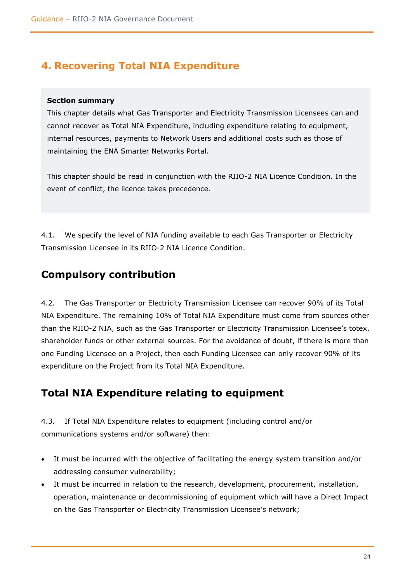# <span id="page-23-0"></span>**4. Recovering Total NIA Expenditure**

## **Section summary**

This chapter details what Gas Transporter and Electricity Transmission Licensees can and cannot recover as Total NIA Expenditure, including expenditure relating to equipment, internal resources, payments to Network Users and additional costs such as those of maintaining the ENA Smarter Networks Portal.

This chapter should be read in conjunction with the RIIO-2 NIA Licence Condition. In the event of conflict, the licence takes precedence.

4.1. We specify the level of NIA funding available to each Gas Transporter or Electricity Transmission Licensee in its RIIO-2 NIA Licence Condition.

## <span id="page-23-1"></span>**Compulsory contribution**

4.2. The Gas Transporter or Electricity Transmission Licensee can recover 90% of its Total NIA Expenditure. The remaining 10% of Total NIA Expenditure must come from sources other than the RIIO-2 NIA, such as the Gas Transporter or Electricity Transmission Licensee's totex, shareholder funds or other external sources. For the avoidance of doubt, if there is more than one Funding Licensee on a Project, then each Funding Licensee can only recover 90% of its expenditure on the Project from its Total NIA Expenditure.

## <span id="page-23-2"></span>**Total NIA Expenditure relating to equipment**

4.3. If Total NIA Expenditure relates to equipment (including control and/or communications systems and/or software) then:

- It must be incurred with the objective of facilitating the energy system transition and/or addressing consumer vulnerability;
- It must be incurred in relation to the research, development, procurement, installation, operation, maintenance or decommissioning of equipment which will have a Direct Impact on the Gas Transporter or Electricity Transmission Licensee's network;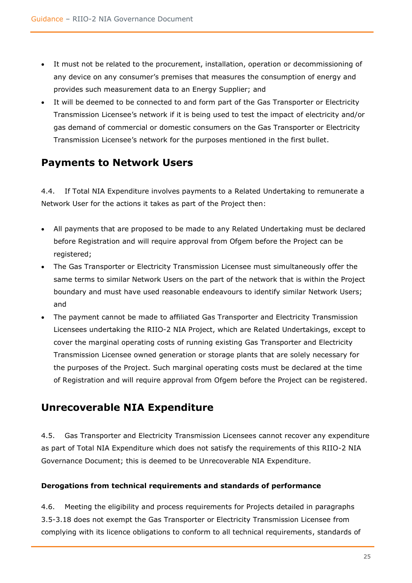- It must not be related to the procurement, installation, operation or decommissioning of any device on any consumer's premises that measures the consumption of energy and provides such measurement data to an Energy Supplier; and
- It will be deemed to be connected to and form part of the Gas Transporter or Electricity Transmission Licensee's network if it is being used to test the impact of electricity and/or gas demand of commercial or domestic consumers on the Gas Transporter or Electricity Transmission Licensee's network for the purposes mentioned in the first bullet.

# <span id="page-24-0"></span>**Payments to Network Users**

4.4. If Total NIA Expenditure involves payments to a Related Undertaking to remunerate a Network User for the actions it takes as part of the Project then:

- All payments that are proposed to be made to any Related Undertaking must be declared before Registration and will require approval from Ofgem before the Project can be registered;
- The Gas Transporter or Electricity Transmission Licensee must simultaneously offer the same terms to similar Network Users on the part of the network that is within the Project boundary and must have used reasonable endeavours to identify similar Network Users; and
- The payment cannot be made to affiliated Gas Transporter and Electricity Transmission Licensees undertaking the RIIO-2 NIA Project, which are Related Undertakings, except to cover the marginal operating costs of running existing Gas Transporter and Electricity Transmission Licensee owned generation or storage plants that are solely necessary for the purposes of the Project. Such marginal operating costs must be declared at the time of Registration and will require approval from Ofgem before the Project can be registered.

## <span id="page-24-1"></span>**Unrecoverable NIA Expenditure**

4.5. Gas Transporter and Electricity Transmission Licensees cannot recover any expenditure as part of Total NIA Expenditure which does not satisfy the requirements of this RIIO-2 NIA Governance Document; this is deemed to be Unrecoverable NIA Expenditure.

## <span id="page-24-2"></span>**Derogations from technical requirements and standards of performance**

4.6. Meeting the eligibility and process requirements for Projects detailed in paragraphs 3.5-3.18 does not exempt the Gas Transporter or Electricity Transmission Licensee from complying with its licence obligations to conform to all technical requirements, standards of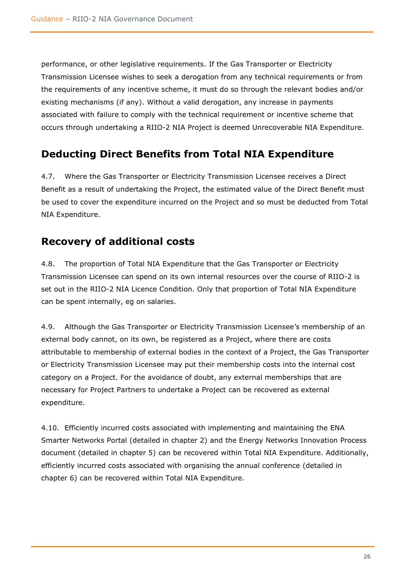performance, or other legislative requirements. If the Gas Transporter or Electricity Transmission Licensee wishes to seek a derogation from any technical requirements or from the requirements of any incentive scheme, it must do so through the relevant bodies and/or existing mechanisms (if any). Without a valid derogation, any increase in payments associated with failure to comply with the technical requirement or incentive scheme that occurs through undertaking a RIIO-2 NIA Project is deemed Unrecoverable NIA Expenditure.

# <span id="page-25-0"></span>**Deducting Direct Benefits from Total NIA Expenditure**

4.7. Where the Gas Transporter or Electricity Transmission Licensee receives a Direct Benefit as a result of undertaking the Project, the estimated value of the Direct Benefit must be used to cover the expenditure incurred on the Project and so must be deducted from Total NIA Expenditure.

# <span id="page-25-1"></span>**Recovery of additional costs**

4.8. The proportion of Total NIA Expenditure that the Gas Transporter or Electricity Transmission Licensee can spend on its own internal resources over the course of RIIO-2 is set out in the RIIO-2 NIA Licence Condition. Only that proportion of Total NIA Expenditure can be spent internally, eg on salaries.

4.9. Although the Gas Transporter or Electricity Transmission Licensee's membership of an external body cannot, on its own, be registered as a Project, where there are costs attributable to membership of external bodies in the context of a Project, the Gas Transporter or Electricity Transmission Licensee may put their membership costs into the internal cost category on a Project. For the avoidance of doubt, any external memberships that are necessary for Project Partners to undertake a Project can be recovered as external expenditure.

4.10. Efficiently incurred costs associated with implementing and maintaining the ENA Smarter Networks Portal (detailed in chapter 2) and the Energy Networks Innovation Process document (detailed in chapter 5) can be recovered within Total NIA Expenditure. Additionally, efficiently incurred costs associated with organising the annual conference (detailed in chapter 6) can be recovered within Total NIA Expenditure.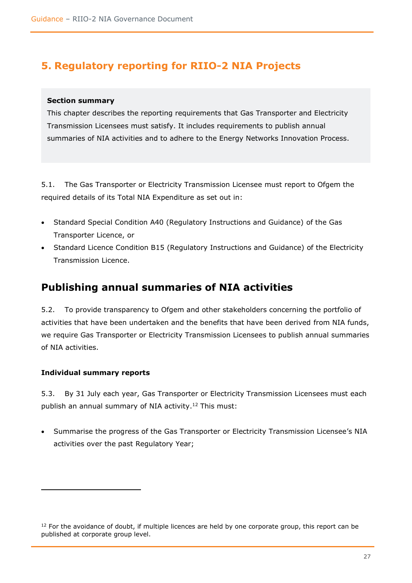# <span id="page-26-0"></span>**5. Regulatory reporting for RIIO-2 NIA Projects**

## **Section summary**

This chapter describes the reporting requirements that Gas Transporter and Electricity Transmission Licensees must satisfy. It includes requirements to publish annual summaries of NIA activities and to adhere to the Energy Networks Innovation Process.

5.1. The Gas Transporter or Electricity Transmission Licensee must report to Ofgem the required details of its Total NIA Expenditure as set out in:

- Standard Special Condition A40 (Regulatory Instructions and Guidance) of the Gas Transporter Licence, or
- Standard Licence Condition B15 (Regulatory Instructions and Guidance) of the Electricity Transmission Licence.

## <span id="page-26-1"></span>**Publishing annual summaries of NIA activities**

5.2. To provide transparency to Ofgem and other stakeholders concerning the portfolio of activities that have been undertaken and the benefits that have been derived from NIA funds, we require Gas Transporter or Electricity Transmission Licensees to publish annual summaries of NIA activities.

## <span id="page-26-2"></span>**Individual summary reports**

5.3. By 31 July each year, Gas Transporter or Electricity Transmission Licensees must each publish an annual summary of NIA activity. <sup>12</sup> This must:

• Summarise the progress of the Gas Transporter or Electricity Transmission Licensee's NIA activities over the past Regulatory Year;

 $12$  For the avoidance of doubt, if multiple licences are held by one corporate group, this report can be published at corporate group level.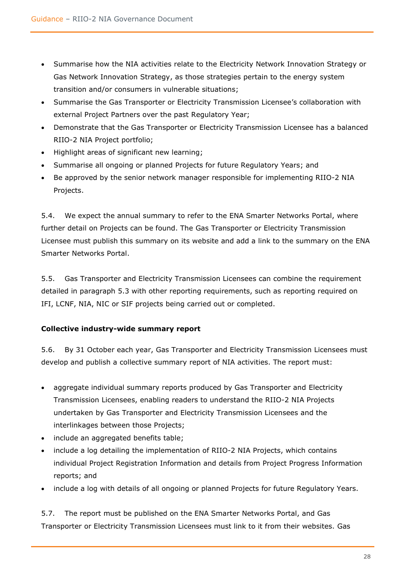- Summarise how the NIA activities relate to the Electricity Network Innovation Strategy or Gas Network Innovation Strategy, as those strategies pertain to the energy system transition and/or consumers in vulnerable situations;
- Summarise the Gas Transporter or Electricity Transmission Licensee's collaboration with external Project Partners over the past Regulatory Year;
- Demonstrate that the Gas Transporter or Electricity Transmission Licensee has a balanced RIIO-2 NIA Project portfolio;
- Highlight areas of significant new learning;
- Summarise all ongoing or planned Projects for future Regulatory Years; and
- Be approved by the senior network manager responsible for implementing RIIO-2 NIA Projects.

5.4. We expect the annual summary to refer to the ENA Smarter Networks Portal, where further detail on Projects can be found. The Gas Transporter or Electricity Transmission Licensee must publish this summary on its website and add a link to the summary on the ENA Smarter Networks Portal.

5.5. Gas Transporter and Electricity Transmission Licensees can combine the requirement detailed in paragraph 5.3 with other reporting requirements, such as reporting required on IFI, LCNF, NIA, NIC or SIF projects being carried out or completed.

## <span id="page-27-0"></span>**Collective industry-wide summary report**

5.6. By 31 October each year, Gas Transporter and Electricity Transmission Licensees must develop and publish a collective summary report of NIA activities. The report must:

- aggregate individual summary reports produced by Gas Transporter and Electricity Transmission Licensees, enabling readers to understand the RIIO-2 NIA Projects undertaken by Gas Transporter and Electricity Transmission Licensees and the interlinkages between those Projects;
- include an aggregated benefits table;
- include a log detailing the implementation of RIIO-2 NIA Projects, which contains individual Project Registration Information and details from Project Progress Information reports; and
- include a log with details of all ongoing or planned Projects for future Regulatory Years.

5.7. The report must be published on the ENA Smarter Networks Portal, and Gas Transporter or Electricity Transmission Licensees must link to it from their websites. Gas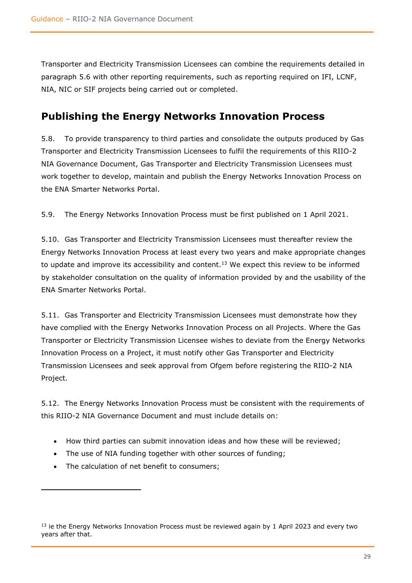Transporter and Electricity Transmission Licensees can combine the requirements detailed in paragraph 5.6 with other reporting requirements, such as reporting required on IFI, LCNF, NIA, NIC or SIF projects being carried out or completed.

## <span id="page-28-0"></span>**Publishing the Energy Networks Innovation Process**

5.8. To provide transparency to third parties and consolidate the outputs produced by Gas Transporter and Electricity Transmission Licensees to fulfil the requirements of this RIIO-2 NIA Governance Document, Gas Transporter and Electricity Transmission Licensees must work together to develop, maintain and publish the Energy Networks Innovation Process on the ENA Smarter Networks Portal.

5.9. The Energy Networks Innovation Process must be first published on 1 April 2021.

5.10. Gas Transporter and Electricity Transmission Licensees must thereafter review the Energy Networks Innovation Process at least every two years and make appropriate changes to update and improve its accessibility and content.<sup>13</sup> We expect this review to be informed by stakeholder consultation on the quality of information provided by and the usability of the ENA Smarter Networks Portal.

5.11. Gas Transporter and Electricity Transmission Licensees must demonstrate how they have complied with the Energy Networks Innovation Process on all Projects. Where the Gas Transporter or Electricity Transmission Licensee wishes to deviate from the Energy Networks Innovation Process on a Project, it must notify other Gas Transporter and Electricity Transmission Licensees and seek approval from Ofgem before registering the RIIO-2 NIA Project.

5.12. The Energy Networks Innovation Process must be consistent with the requirements of this RIIO-2 NIA Governance Document and must include details on:

- How third parties can submit innovation ideas and how these will be reviewed;
- The use of NIA funding together with other sources of funding;
- The calculation of net benefit to consumers;

<sup>&</sup>lt;sup>13</sup> ie the Energy Networks Innovation Process must be reviewed again by 1 April 2023 and every two years after that.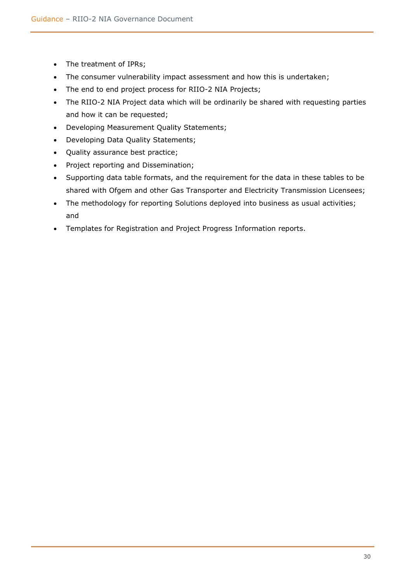- The treatment of IPRs;
- The consumer vulnerability impact assessment and how this is undertaken;
- The end to end project process for RIIO-2 NIA Projects;
- The RIIO-2 NIA Project data which will be ordinarily be shared with requesting parties and how it can be requested;
- Developing Measurement Quality Statements;
- Developing Data Quality Statements;
- Quality assurance best practice;
- Project reporting and Dissemination;
- Supporting data table formats, and the requirement for the data in these tables to be shared with Ofgem and other Gas Transporter and Electricity Transmission Licensees;
- The methodology for reporting Solutions deployed into business as usual activities; and
- Templates for Registration and Project Progress Information reports.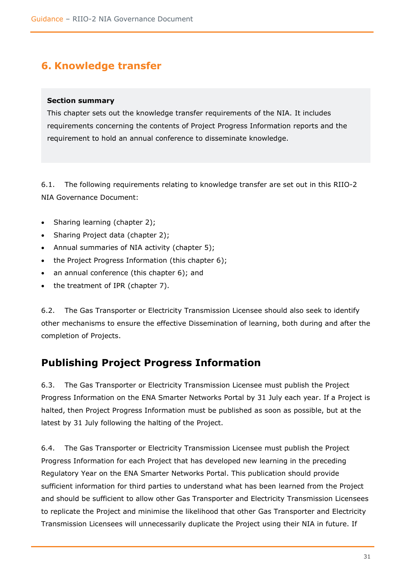# <span id="page-30-0"></span>**6. Knowledge transfer**

## **Section summary**

This chapter sets out the knowledge transfer requirements of the NIA. It includes requirements concerning the contents of Project Progress Information reports and the requirement to hold an annual conference to disseminate knowledge.

6.1. The following requirements relating to knowledge transfer are set out in this RIIO-2 NIA Governance Document:

- Sharing learning (chapter 2);
- Sharing Project data (chapter 2);
- Annual summaries of NIA activity (chapter 5);
- the Project Progress Information (this chapter 6);
- an annual conference (this chapter 6); and
- the treatment of IPR (chapter 7).

6.2. The Gas Transporter or Electricity Transmission Licensee should also seek to identify other mechanisms to ensure the effective Dissemination of learning, both during and after the completion of Projects.

## <span id="page-30-1"></span>**Publishing Project Progress Information**

6.3. The Gas Transporter or Electricity Transmission Licensee must publish the Project Progress Information on the ENA Smarter Networks Portal by 31 July each year. If a Project is halted, then Project Progress Information must be published as soon as possible, but at the latest by 31 July following the halting of the Project.

6.4. The Gas Transporter or Electricity Transmission Licensee must publish the Project Progress Information for each Project that has developed new learning in the preceding Regulatory Year on the ENA Smarter Networks Portal. This publication should provide sufficient information for third parties to understand what has been learned from the Project and should be sufficient to allow other Gas Transporter and Electricity Transmission Licensees to replicate the Project and minimise the likelihood that other Gas Transporter and Electricity Transmission Licensees will unnecessarily duplicate the Project using their NIA in future. If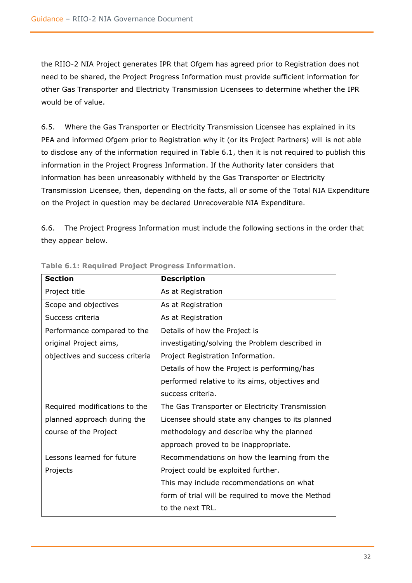the RIIO-2 NIA Project generates IPR that Ofgem has agreed prior to Registration does not need to be shared, the Project Progress Information must provide sufficient information for other Gas Transporter and Electricity Transmission Licensees to determine whether the IPR would be of value.

6.5. Where the Gas Transporter or Electricity Transmission Licensee has explained in its PEA and informed Ofgem prior to Registration why it (or its Project Partners) will is not able to disclose any of the information required in Table 6.1, then it is not required to publish this information in the Project Progress Information. If the Authority later considers that information has been unreasonably withheld by the Gas Transporter or Electricity Transmission Licensee, then, depending on the facts, all or some of the Total NIA Expenditure on the Project in question may be declared Unrecoverable NIA Expenditure.

6.6. The Project Progress Information must include the following sections in the order that they appear below.

| <b>Section</b>                  | <b>Description</b>                                |
|---------------------------------|---------------------------------------------------|
| Project title                   | As at Registration                                |
| Scope and objectives            | As at Registration                                |
| Success criteria                | As at Registration                                |
| Performance compared to the     | Details of how the Project is                     |
| original Project aims,          | investigating/solving the Problem described in    |
| objectives and success criteria | Project Registration Information.                 |
|                                 | Details of how the Project is performing/has      |
|                                 | performed relative to its aims, objectives and    |
|                                 | success criteria.                                 |
| Required modifications to the   | The Gas Transporter or Electricity Transmission   |
| planned approach during the     | Licensee should state any changes to its planned  |
| course of the Project           | methodology and describe why the planned          |
|                                 | approach proved to be inappropriate.              |
| Lessons learned for future      | Recommendations on how the learning from the      |
| Projects                        | Project could be exploited further.               |
|                                 | This may include recommendations on what          |
|                                 | form of trial will be required to move the Method |
|                                 | to the next TRL.                                  |

**Table 6.1: Required Project Progress Information.**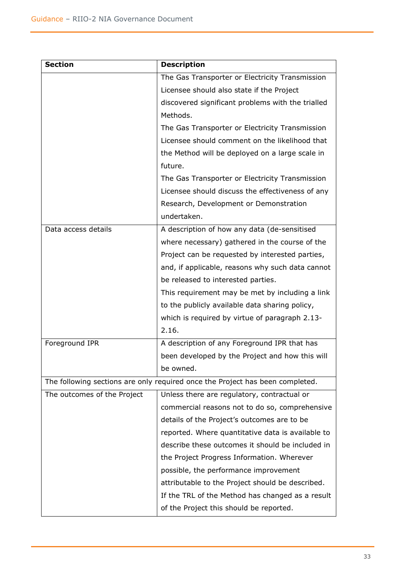| <b>Section</b>              | <b>Description</b>                                                            |
|-----------------------------|-------------------------------------------------------------------------------|
|                             | The Gas Transporter or Electricity Transmission                               |
|                             | Licensee should also state if the Project                                     |
|                             | discovered significant problems with the trialled                             |
|                             | Methods.                                                                      |
|                             | The Gas Transporter or Electricity Transmission                               |
|                             | Licensee should comment on the likelihood that                                |
|                             | the Method will be deployed on a large scale in                               |
|                             | future.                                                                       |
|                             | The Gas Transporter or Electricity Transmission                               |
|                             | Licensee should discuss the effectiveness of any                              |
|                             | Research, Development or Demonstration                                        |
|                             | undertaken.                                                                   |
| Data access details         | A description of how any data (de-sensitised                                  |
|                             | where necessary) gathered in the course of the                                |
|                             | Project can be requested by interested parties,                               |
|                             | and, if applicable, reasons why such data cannot                              |
|                             | be released to interested parties.                                            |
|                             | This requirement may be met by including a link                               |
|                             | to the publicly available data sharing policy,                                |
|                             | which is required by virtue of paragraph 2.13-                                |
|                             | 2.16.                                                                         |
| Foreground IPR              | A description of any Foreground IPR that has                                  |
|                             | been developed by the Project and how this will                               |
|                             | be owned.                                                                     |
|                             | The following sections are only required once the Project has been completed. |
| The outcomes of the Project | Unless there are regulatory, contractual or                                   |
|                             | commercial reasons not to do so, comprehensive                                |
|                             | details of the Project's outcomes are to be                                   |
|                             | reported. Where quantitative data is available to                             |
|                             | describe these outcomes it should be included in                              |
|                             | the Project Progress Information. Wherever                                    |
|                             | possible, the performance improvement                                         |
|                             | attributable to the Project should be described.                              |
|                             | If the TRL of the Method has changed as a result                              |
|                             | of the Project this should be reported.                                       |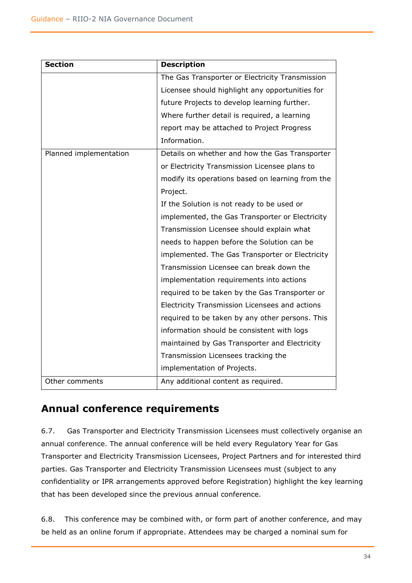| <b>Section</b>         | <b>Description</b>                               |
|------------------------|--------------------------------------------------|
|                        | The Gas Transporter or Electricity Transmission  |
|                        | Licensee should highlight any opportunities for  |
|                        | future Projects to develop learning further.     |
|                        | Where further detail is required, a learning     |
|                        | report may be attached to Project Progress       |
|                        | Information.                                     |
| Planned implementation | Details on whether and how the Gas Transporter   |
|                        | or Electricity Transmission Licensee plans to    |
|                        | modify its operations based on learning from the |
|                        | Project.                                         |
|                        | If the Solution is not ready to be used or       |
|                        | implemented, the Gas Transporter or Electricity  |
|                        | Transmission Licensee should explain what        |
|                        | needs to happen before the Solution can be       |
|                        | implemented. The Gas Transporter or Electricity  |
|                        | Transmission Licensee can break down the         |
|                        | implementation requirements into actions         |
|                        | required to be taken by the Gas Transporter or   |
|                        | Electricity Transmission Licensees and actions   |
|                        | required to be taken by any other persons. This  |
|                        | information should be consistent with logs       |
|                        | maintained by Gas Transporter and Electricity    |
|                        | Transmission Licensees tracking the              |
|                        | implementation of Projects.                      |
| Other comments         | Any additional content as required.              |

## <span id="page-33-0"></span>**Annual conference requirements**

6.7. Gas Transporter and Electricity Transmission Licensees must collectively organise an annual conference. The annual conference will be held every Regulatory Year for Gas Transporter and Electricity Transmission Licensees, Project Partners and for interested third parties. Gas Transporter and Electricity Transmission Licensees must (subject to any confidentiality or IPR arrangements approved before Registration) highlight the key learning that has been developed since the previous annual conference.

6.8. This conference may be combined with, or form part of another conference, and may be held as an online forum if appropriate. Attendees may be charged a nominal sum for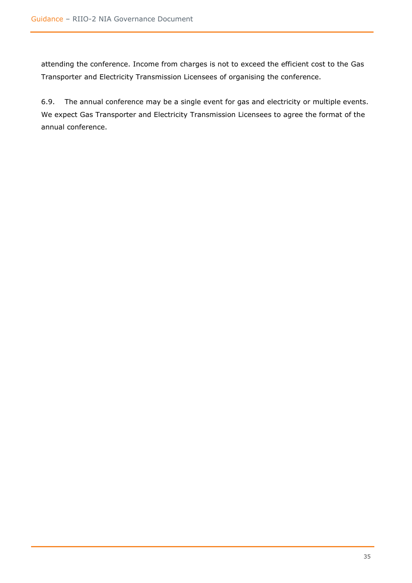attending the conference. Income from charges is not to exceed the efficient cost to the Gas Transporter and Electricity Transmission Licensees of organising the conference.

6.9. The annual conference may be a single event for gas and electricity or multiple events. We expect Gas Transporter and Electricity Transmission Licensees to agree the format of the annual conference.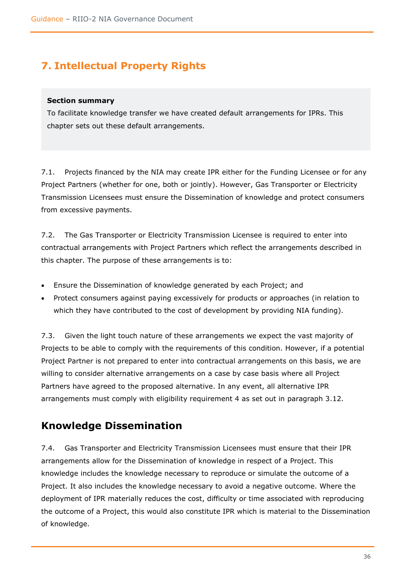# <span id="page-35-0"></span>**7. Intellectual Property Rights**

#### **Section summary**

To facilitate knowledge transfer we have created default arrangements for IPRs. This chapter sets out these default arrangements.

7.1. Projects financed by the NIA may create IPR either for the Funding Licensee or for any Project Partners (whether for one, both or jointly). However, Gas Transporter or Electricity Transmission Licensees must ensure the Dissemination of knowledge and protect consumers from excessive payments.

7.2. The Gas Transporter or Electricity Transmission Licensee is required to enter into contractual arrangements with Project Partners which reflect the arrangements described in this chapter. The purpose of these arrangements is to:

- Ensure the Dissemination of knowledge generated by each Project; and
- Protect consumers against paying excessively for products or approaches (in relation to which they have contributed to the cost of development by providing NIA funding).

7.3. Given the light touch nature of these arrangements we expect the vast majority of Projects to be able to comply with the requirements of this condition. However, if a potential Project Partner is not prepared to enter into contractual arrangements on this basis, we are willing to consider alternative arrangements on a case by case basis where all Project Partners have agreed to the proposed alternative. In any event, all alternative IPR arrangements must comply with eligibility requirement 4 as set out in paragraph 3.12.

## <span id="page-35-1"></span>**Knowledge Dissemination**

7.4. Gas Transporter and Electricity Transmission Licensees must ensure that their IPR arrangements allow for the Dissemination of knowledge in respect of a Project. This knowledge includes the knowledge necessary to reproduce or simulate the outcome of a Project. It also includes the knowledge necessary to avoid a negative outcome. Where the deployment of IPR materially reduces the cost, difficulty or time associated with reproducing the outcome of a Project, this would also constitute IPR which is material to the Dissemination of knowledge.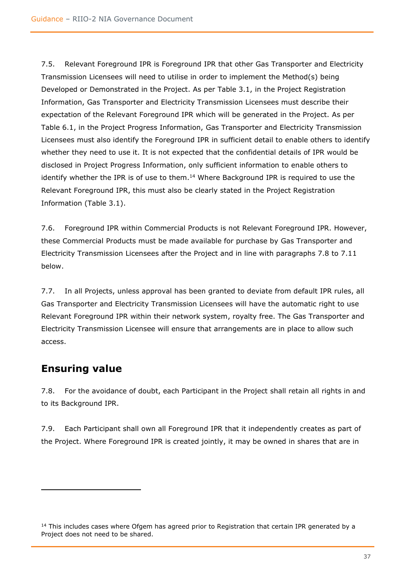7.5. Relevant Foreground IPR is Foreground IPR that other Gas Transporter and Electricity Transmission Licensees will need to utilise in order to implement the Method(s) being Developed or Demonstrated in the Project. As per Table 3.1, in the Project Registration Information, Gas Transporter and Electricity Transmission Licensees must describe their expectation of the Relevant Foreground IPR which will be generated in the Project. As per Table 6.1, in the Project Progress Information, Gas Transporter and Electricity Transmission Licensees must also identify the Foreground IPR in sufficient detail to enable others to identify whether they need to use it. It is not expected that the confidential details of IPR would be disclosed in Project Progress Information, only sufficient information to enable others to identify whether the IPR is of use to them.<sup>14</sup> Where Background IPR is required to use the Relevant Foreground IPR, this must also be clearly stated in the Project Registration Information (Table 3.1).

7.6. Foreground IPR within Commercial Products is not Relevant Foreground IPR. However, these Commercial Products must be made available for purchase by Gas Transporter and Electricity Transmission Licensees after the Project and in line with paragraphs 7.8 to 7.11 below.

7.7. In all Projects, unless approval has been granted to deviate from default IPR rules, all Gas Transporter and Electricity Transmission Licensees will have the automatic right to use Relevant Foreground IPR within their network system, royalty free. The Gas Transporter and Electricity Transmission Licensee will ensure that arrangements are in place to allow such access.

## <span id="page-36-0"></span>**Ensuring value**

7.8. For the avoidance of doubt, each Participant in the Project shall retain all rights in and to its Background IPR.

7.9. Each Participant shall own all Foreground IPR that it independently creates as part of the Project. Where Foreground IPR is created jointly, it may be owned in shares that are in

 $14$  This includes cases where Ofgem has agreed prior to Registration that certain IPR generated by a Project does not need to be shared.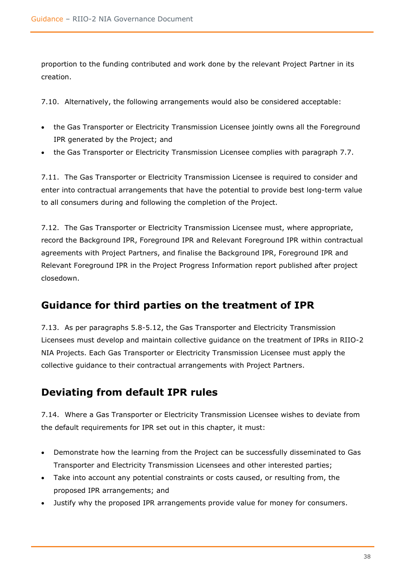proportion to the funding contributed and work done by the relevant Project Partner in its creation.

7.10. Alternatively, the following arrangements would also be considered acceptable:

- the Gas Transporter or Electricity Transmission Licensee jointly owns all the Foreground IPR generated by the Project; and
- the Gas Transporter or Electricity Transmission Licensee complies with paragraph 7.7.

7.11. The Gas Transporter or Electricity Transmission Licensee is required to consider and enter into contractual arrangements that have the potential to provide best long-term value to all consumers during and following the completion of the Project.

7.12. The Gas Transporter or Electricity Transmission Licensee must, where appropriate, record the Background IPR, Foreground IPR and Relevant Foreground IPR within contractual agreements with Project Partners, and finalise the Background IPR, Foreground IPR and Relevant Foreground IPR in the Project Progress Information report published after project closedown.

## <span id="page-37-0"></span>**Guidance for third parties on the treatment of IPR**

7.13. As per paragraphs 5.8-5.12, the Gas Transporter and Electricity Transmission Licensees must develop and maintain collective guidance on the treatment of IPRs in RIIO-2 NIA Projects. Each Gas Transporter or Electricity Transmission Licensee must apply the collective guidance to their contractual arrangements with Project Partners.

## <span id="page-37-1"></span>**Deviating from default IPR rules**

7.14. Where a Gas Transporter or Electricity Transmission Licensee wishes to deviate from the default requirements for IPR set out in this chapter, it must:

- Demonstrate how the learning from the Project can be successfully disseminated to Gas Transporter and Electricity Transmission Licensees and other interested parties;
- Take into account any potential constraints or costs caused, or resulting from, the proposed IPR arrangements; and
- Justify why the proposed IPR arrangements provide value for money for consumers.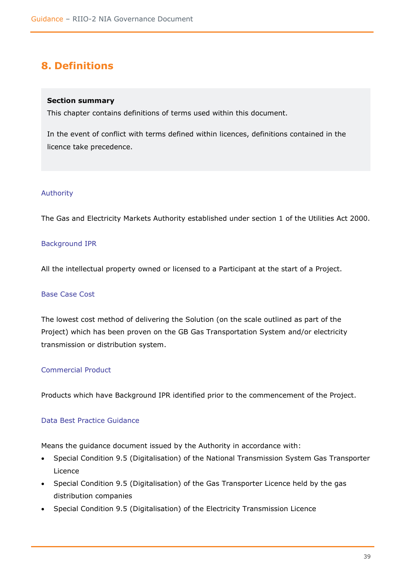# <span id="page-38-0"></span>**8. Definitions**

### **Section summary**

This chapter contains definitions of terms used within this document.

In the event of conflict with terms defined within licences, definitions contained in the licence take precedence.

### Authority

The Gas and Electricity Markets Authority established under section 1 of the Utilities Act 2000.

## Background IPR

All the intellectual property owned or licensed to a Participant at the start of a Project.

#### Base Case Cost

The lowest cost method of delivering the Solution (on the scale outlined as part of the Project) which has been proven on the GB Gas Transportation System and/or electricity transmission or distribution system.

## Commercial Product

Products which have Background IPR identified prior to the commencement of the Project.

## Data Best Practice Guidance

Means the guidance document issued by the Authority in accordance with:

- Special Condition 9.5 (Digitalisation) of the National Transmission System Gas Transporter Licence
- Special Condition 9.5 (Digitalisation) of the Gas Transporter Licence held by the gas distribution companies
- Special Condition 9.5 (Digitalisation) of the Electricity Transmission Licence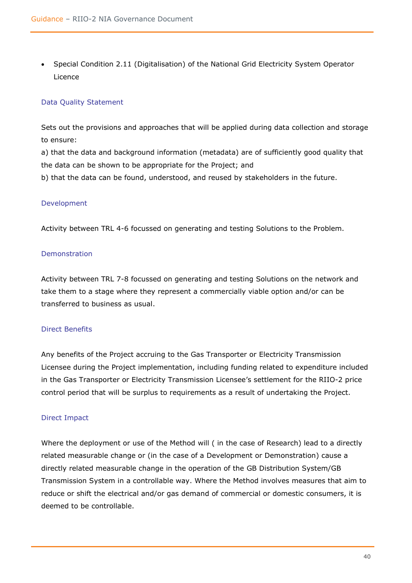• Special Condition 2.11 (Digitalisation) of the National Grid Electricity System Operator Licence

### Data Quality Statement

Sets out the provisions and approaches that will be applied during data collection and storage to ensure:

a) that the data and background information (metadata) are of sufficiently good quality that the data can be shown to be appropriate for the Project; and

b) that the data can be found, understood, and reused by stakeholders in the future.

#### Development

Activity between TRL 4-6 focussed on generating and testing Solutions to the Problem.

#### Demonstration

Activity between TRL 7-8 focussed on generating and testing Solutions on the network and take them to a stage where they represent a commercially viable option and/or can be transferred to business as usual.

#### Direct Benefits

Any benefits of the Project accruing to the Gas Transporter or Electricity Transmission Licensee during the Project implementation, including funding related to expenditure included in the Gas Transporter or Electricity Transmission Licensee's settlement for the RIIO-2 price control period that will be surplus to requirements as a result of undertaking the Project.

#### Direct Impact

Where the deployment or use of the Method will ( in the case of Research) lead to a directly related measurable change or (in the case of a Development or Demonstration) cause a directly related measurable change in the operation of the GB Distribution System/GB Transmission System in a controllable way. Where the Method involves measures that aim to reduce or shift the electrical and/or gas demand of commercial or domestic consumers, it is deemed to be controllable.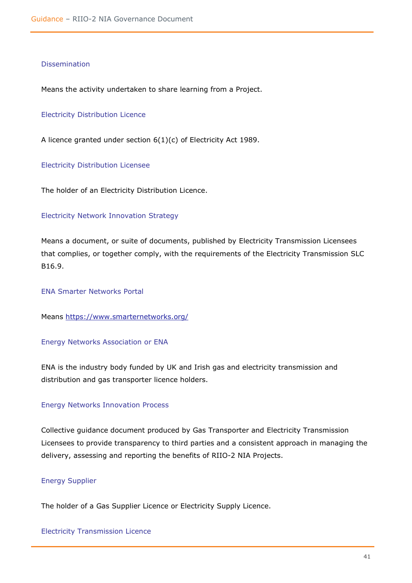#### Dissemination

Means the activity undertaken to share learning from a Project.

#### Electricity Distribution Licence

A licence granted under section 6(1)(c) of Electricity Act 1989.

Electricity Distribution Licensee

The holder of an Electricity Distribution Licence.

#### Electricity Network Innovation Strategy

Means a document, or suite of documents, published by Electricity Transmission Licensees that complies, or together comply, with the requirements of the Electricity Transmission SLC B16.9.

ENA Smarter Networks Portal

Means<https://www.smarternetworks.org/>

#### Energy Networks Association or ENA

ENA is the industry body funded by UK and Irish gas and electricity transmission and distribution and gas transporter licence holders.

#### Energy Networks Innovation Process

Collective guidance document produced by Gas Transporter and Electricity Transmission Licensees to provide transparency to third parties and a consistent approach in managing the delivery, assessing and reporting the benefits of RIIO-2 NIA Projects.

### Energy Supplier

The holder of a Gas Supplier Licence or Electricity Supply Licence.

Electricity Transmission Licence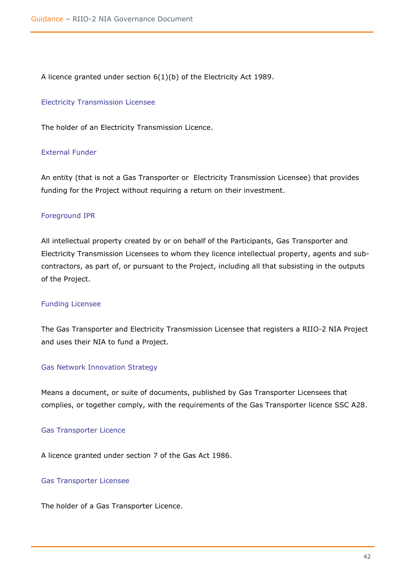A licence granted under section 6(1)(b) of the Electricity Act 1989.

#### Electricity Transmission Licensee

The holder of an Electricity Transmission Licence.

#### External Funder

An entity (that is not a Gas Transporter or Electricity Transmission Licensee) that provides funding for the Project without requiring a return on their investment.

#### Foreground IPR

All intellectual property created by or on behalf of the Participants, Gas Transporter and Electricity Transmission Licensees to whom they licence intellectual property, agents and subcontractors, as part of, or pursuant to the Project, including all that subsisting in the outputs of the Project.

#### Funding Licensee

The Gas Transporter and Electricity Transmission Licensee that registers a RIIO-2 NIA Project and uses their NIA to fund a Project.

#### Gas Network Innovation Strategy

Means a document, or suite of documents, published by Gas Transporter Licensees that complies, or together comply, with the requirements of the Gas Transporter licence SSC A28.

#### Gas Transporter Licence

A licence granted under section 7 of the Gas Act 1986.

#### Gas Transporter Licensee

The holder of a Gas Transporter Licence.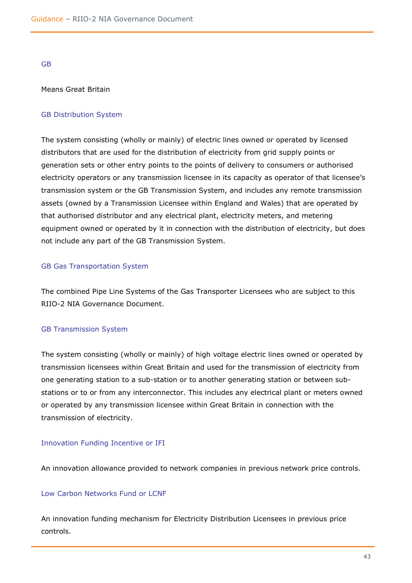GB

#### Means Great Britain

#### GB Distribution System

The system consisting (wholly or mainly) of electric lines owned or operated by licensed distributors that are used for the distribution of electricity from grid supply points or generation sets or other entry points to the points of delivery to consumers or authorised electricity operators or any transmission licensee in its capacity as operator of that licensee's transmission system or the GB Transmission System, and includes any remote transmission assets (owned by a Transmission Licensee within England and Wales) that are operated by that authorised distributor and any electrical plant, electricity meters, and metering equipment owned or operated by it in connection with the distribution of electricity, but does not include any part of the GB Transmission System.

#### GB Gas Transportation System

The combined Pipe Line Systems of the Gas Transporter Licensees who are subject to this RIIO-2 NIA Governance Document.

#### GB Transmission System

The system consisting (wholly or mainly) of high voltage electric lines owned or operated by transmission licensees within Great Britain and used for the transmission of electricity from one generating station to a sub-station or to another generating station or between substations or to or from any interconnector. This includes any electrical plant or meters owned or operated by any transmission licensee within Great Britain in connection with the transmission of electricity.

#### Innovation Funding Incentive or IFI

An innovation allowance provided to network companies in previous network price controls.

#### Low Carbon Networks Fund or LCNF

An innovation funding mechanism for Electricity Distribution Licensees in previous price controls.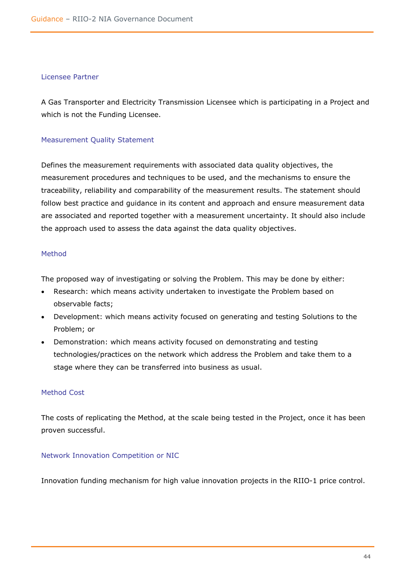#### Licensee Partner

A Gas Transporter and Electricity Transmission Licensee which is participating in a Project and which is not the Funding Licensee.

### Measurement Quality Statement

Defines the measurement requirements with associated data quality objectives, the measurement procedures and techniques to be used, and the mechanisms to ensure the traceability, reliability and comparability of the measurement results. The statement should follow best practice and guidance in its content and approach and ensure measurement data are associated and reported together with a measurement uncertainty. It should also include the approach used to assess the data against the data quality objectives.

#### Method

The proposed way of investigating or solving the Problem. This may be done by either:

- Research: which means activity undertaken to investigate the Problem based on observable facts;
- Development: which means activity focused on generating and testing Solutions to the Problem; or
- Demonstration: which means activity focused on demonstrating and testing technologies/practices on the network which address the Problem and take them to a stage where they can be transferred into business as usual.

## Method Cost

The costs of replicating the Method, at the scale being tested in the Project, once it has been proven successful.

## Network Innovation Competition or NIC

Innovation funding mechanism for high value innovation projects in the RIIO-1 price control.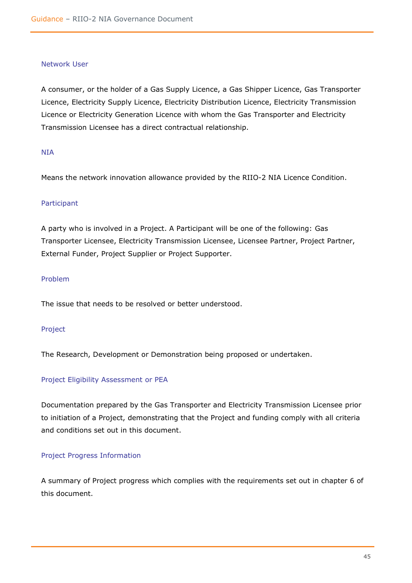#### Network User

A consumer, or the holder of a Gas Supply Licence, a Gas Shipper Licence, Gas Transporter Licence, Electricity Supply Licence, Electricity Distribution Licence, Electricity Transmission Licence or Electricity Generation Licence with whom the Gas Transporter and Electricity Transmission Licensee has a direct contractual relationship.

#### NIA

Means the network innovation allowance provided by the RIIO-2 NIA Licence Condition.

#### Participant

A party who is involved in a Project. A Participant will be one of the following: Gas Transporter Licensee, Electricity Transmission Licensee, Licensee Partner, Project Partner, External Funder, Project Supplier or Project Supporter.

### Problem

The issue that needs to be resolved or better understood.

#### Project

The Research, Development or Demonstration being proposed or undertaken.

#### Project Eligibility Assessment or PEA

Documentation prepared by the Gas Transporter and Electricity Transmission Licensee prior to initiation of a Project, demonstrating that the Project and funding comply with all criteria and conditions set out in this document.

#### Project Progress Information

A summary of Project progress which complies with the requirements set out in chapter 6 of this document.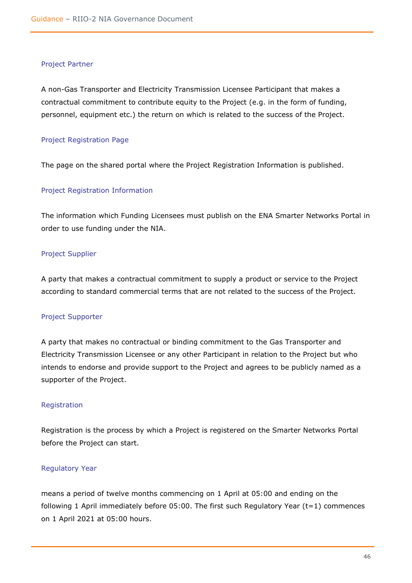#### Project Partner

A non-Gas Transporter and Electricity Transmission Licensee Participant that makes a contractual commitment to contribute equity to the Project (e.g. in the form of funding, personnel, equipment etc.) the return on which is related to the success of the Project.

#### Project Registration Page

The page on the shared portal where the Project Registration Information is published.

#### Project Registration Information

The information which Funding Licensees must publish on the ENA Smarter Networks Portal in order to use funding under the NIA.

#### Project Supplier

A party that makes a contractual commitment to supply a product or service to the Project according to standard commercial terms that are not related to the success of the Project.

#### Project Supporter

A party that makes no contractual or binding commitment to the Gas Transporter and Electricity Transmission Licensee or any other Participant in relation to the Project but who intends to endorse and provide support to the Project and agrees to be publicly named as a supporter of the Project.

#### Registration

Registration is the process by which a Project is registered on the Smarter Networks Portal before the Project can start.

#### Regulatory Year

means a period of twelve months commencing on 1 April at 05:00 and ending on the following 1 April immediately before 05:00. The first such Regulatory Year (t=1) commences on 1 April 2021 at 05:00 hours.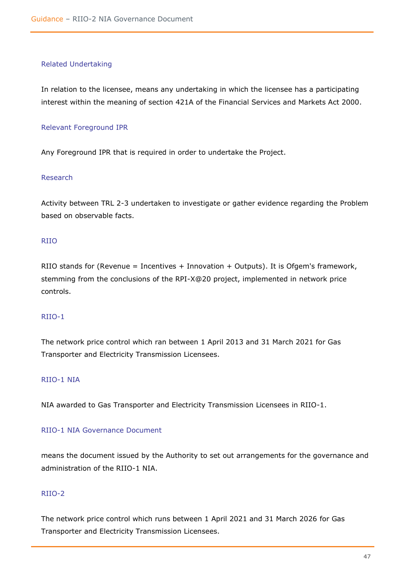#### Related Undertaking

In relation to the licensee, means any undertaking in which the licensee has a participating interest within the meaning of section 421A of the Financial Services and Markets Act 2000.

#### Relevant Foreground IPR

Any Foreground IPR that is required in order to undertake the Project.

#### Research

Activity between TRL 2-3 undertaken to investigate or gather evidence regarding the Problem based on observable facts.

### RIIO

RIIO stands for (Revenue = Incentives + Innovation + Outputs). It is Ofgem's framework, stemming from the conclusions of the RPI-X@20 project, implemented in network price controls.

## RIIO-1

The network price control which ran between 1 April 2013 and 31 March 2021 for Gas Transporter and Electricity Transmission Licensees.

## RIIO-1 NIA

NIA awarded to Gas Transporter and Electricity Transmission Licensees in RIIO-1.

## RIIO-1 NIA Governance Document

means the document issued by the Authority to set out arrangements for the governance and administration of the RIIO-1 NIA.

## RIIO-2

The network price control which runs between 1 April 2021 and 31 March 2026 for Gas Transporter and Electricity Transmission Licensees.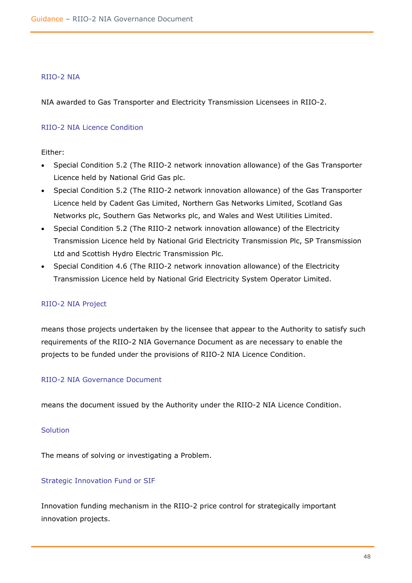#### RIIO-2 NIA

NIA awarded to Gas Transporter and Electricity Transmission Licensees in RIIO-2.

#### RIIO-2 NIA Licence Condition

Either:

- Special Condition 5.2 (The RIIO-2 network innovation allowance) of the Gas Transporter Licence held by National Grid Gas plc.
- Special Condition 5.2 (The RIIO-2 network innovation allowance) of the Gas Transporter Licence held by Cadent Gas Limited, Northern Gas Networks Limited, Scotland Gas Networks plc, Southern Gas Networks plc, and Wales and West Utilities Limited.
- Special Condition 5.2 (The RIIO-2 network innovation allowance) of the Electricity Transmission Licence held by National Grid Electricity Transmission Plc, SP Transmission Ltd and Scottish Hydro Electric Transmission Plc.
- Special Condition 4.6 (The RIIO-2 network innovation allowance) of the Electricity Transmission Licence held by National Grid Electricity System Operator Limited.

#### RIIO-2 NIA Project

means those projects undertaken by the licensee that appear to the Authority to satisfy such requirements of the RIIO-2 NIA Governance Document as are necessary to enable the projects to be funded under the provisions of RIIO-2 NIA Licence Condition.

#### RIIO-2 NIA Governance Document

means the document issued by the Authority under the RIIO-2 NIA Licence Condition.

#### Solution

The means of solving or investigating a Problem.

#### Strategic Innovation Fund or SIF

Innovation funding mechanism in the RIIO-2 price control for strategically important innovation projects.